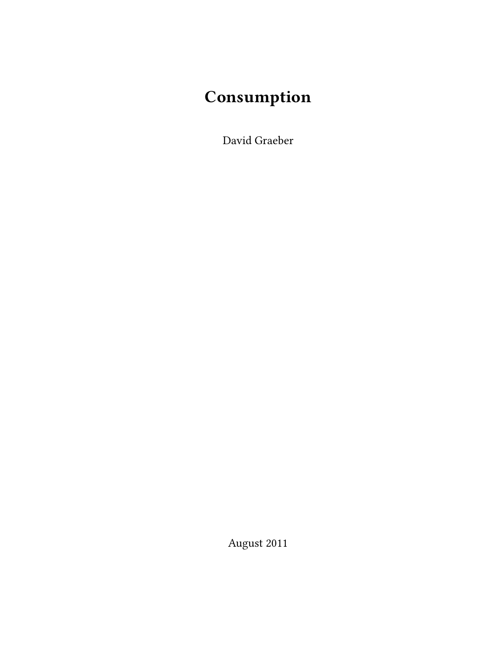# **Consumption**

David Graeber

August 2011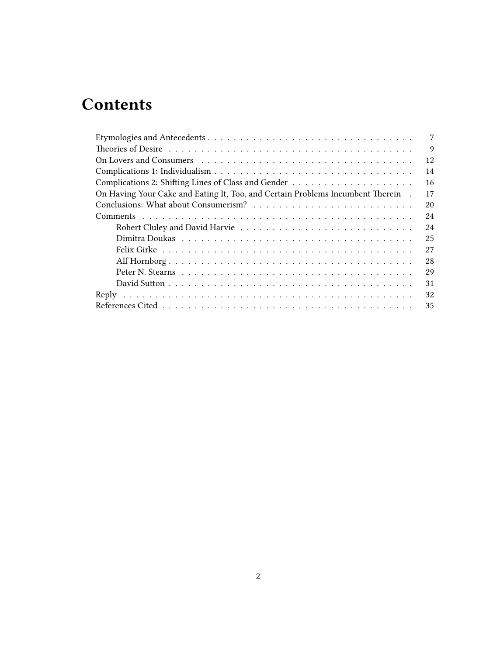# **Contents**

| $7\phantom{.0}$                                                                                                                                                                                                                      |
|--------------------------------------------------------------------------------------------------------------------------------------------------------------------------------------------------------------------------------------|
| $\mathbf Q$                                                                                                                                                                                                                          |
| 12                                                                                                                                                                                                                                   |
| 14                                                                                                                                                                                                                                   |
| 16                                                                                                                                                                                                                                   |
| On Having Your Cake and Eating It, Too, and Certain Problems Incumbent Therein.<br>17                                                                                                                                                |
| 20                                                                                                                                                                                                                                   |
| 24                                                                                                                                                                                                                                   |
| 24                                                                                                                                                                                                                                   |
| 25<br>Dimitra Doukas received a contractor of the contractor of the contractor of the contractor of the contractor of the contractor of the contractor of the contractor of the contractor of the contractor of the contractor of th |
| 27                                                                                                                                                                                                                                   |
| 28                                                                                                                                                                                                                                   |
| 29                                                                                                                                                                                                                                   |
| 31                                                                                                                                                                                                                                   |
| 32                                                                                                                                                                                                                                   |
| 35                                                                                                                                                                                                                                   |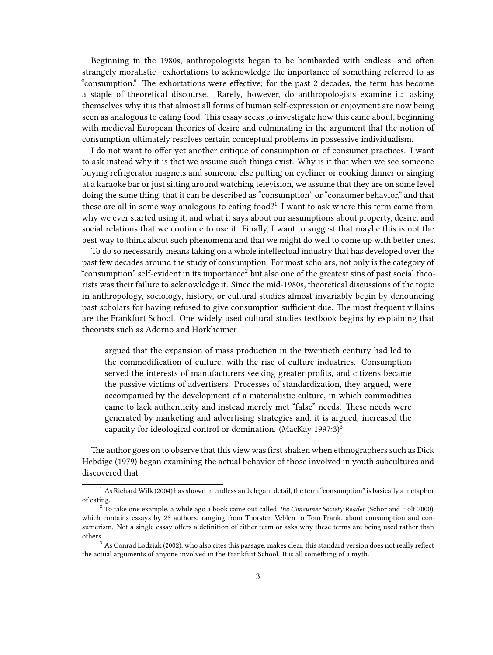Beginning in the 1980s, anthropologists began to be bombarded with endless—and often strangely moralistic—exhortations to acknowledge the importance of something referred to as "consumption." The exhortations were effective; for the past 2 decades, the term has become a staple of theoretical discourse. Rarely, however, do anthropologists examine it: asking themselves why it is that almost all forms of human self-expression or enjoyment are now being seen as analogous to eating food. This essay seeks to investigate how this came about, beginning with medieval European theories of desire and culminating in the argument that the notion of consumption ultimately resolves certain conceptual problems in possessive individualism.

I do not want to offer yet another critique of consumption or of consumer practices. I want to ask instead why it is that we assume such things exist. Why is it that when we see someone buying refrigerator magnets and someone else putting on eyeliner or cooking dinner or singing at a karaoke bar or just sitting around watching television, we assume that they are on some level doing the same thing, that it can be described as "consumption" or "consumer behavior," and that these are all in some way analogous to eating food?<sup>1</sup> I want to ask where this term came from, why we ever started using it, and what it says about our assumptions about property, desire, and social relations that we continue to use it. Finally, I want to suggest that maybe this is not the best way to think about such phenomena and that we might do well to come up with better ones.

To do so necessarily means taking on a whole intellectual industry that has developed over the past few decades around the study of consumption. For most scholars, not only is the category of "consumption" self-evident in its importance<sup>2</sup> but also one of the greatest sins of past social theorists was their failure to acknowledge it. Since the mid-1980s, theoretical discussions of the topic in anthropology, sociology, history, or cultural studies almost invariably begin by denouncing past scholars for having refused to give consumption sufficient due. The most frequent villains are the Frankfurt School. One widely used cultural studies textbook begins by explaining that theorists such as Adorno and Horkheimer

argued that the expansion of mass production in the twentieth century had led to the commodification of culture, with the rise of culture industries. Consumption served the interests of manufacturers seeking greater profits, and citizens became the passive victims of advertisers. Processes of standardization, they argued, were accompanied by the development of a materialistic culture, in which commodities came to lack authenticity and instead merely met "false" needs. These needs were generated by marketing and advertising strategies and, it is argued, increased the capacity for ideological control or domination. (MacKay 1997:3)<sup>3</sup>

The author goes on to observe that this view was first shaken when ethnographers such as Dick Hebdige (1979) began examining the actual behavior of those involved in youth subcultures and discovered that

 $^{\rm 1}$  As Richard Wilk (2004) has shown in endless and elegant detail, the term "consumption" is basically a metaphor of eating.

<sup>2</sup> To take one example, a while ago a book came out called *The Consumer Society Reader* (Schor and Holt 2000), which contains essays by 28 authors, ranging from Thorsten Veblen to Tom Frank, about consumption and consumerism. Not a single essay offers a definition of either term or asks why these terms are being used rather than others.

<sup>&</sup>lt;sup>3</sup> As Conrad Lodziak (2002), who also cites this passage, makes clear, this standard version does not really reflect the actual arguments of anyone involved in the Frankfurt School. It is all something of a myth.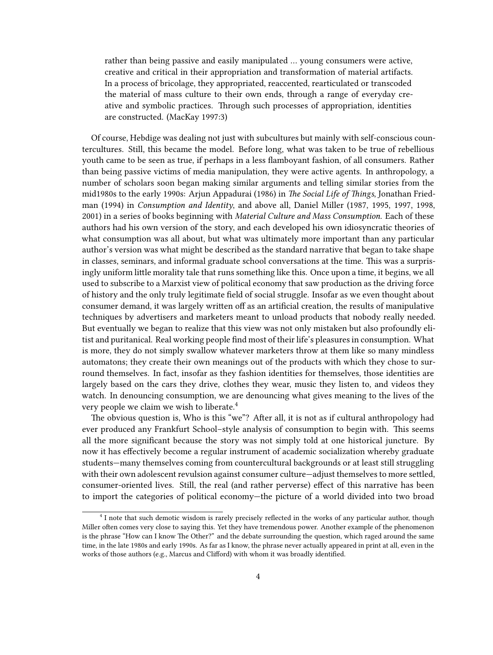rather than being passive and easily manipulated … young consumers were active, creative and critical in their appropriation and transformation of material artifacts. In a process of bricolage, they appropriated, reaccented, rearticulated or transcoded the material of mass culture to their own ends, through a range of everyday creative and symbolic practices. Through such processes of appropriation, identities are constructed. (MacKay 1997:3)

Of course, Hebdige was dealing not just with subcultures but mainly with self-conscious countercultures. Still, this became the model. Before long, what was taken to be true of rebellious youth came to be seen as true, if perhaps in a less flamboyant fashion, of all consumers. Rather than being passive victims of media manipulation, they were active agents. In anthropology, a number of scholars soon began making similar arguments and telling similar stories from the mid1980s to the early 1990s: Arjun Appadurai (1986) in *The Social Life of Things*, Jonathan Friedman (1994) in *Consumption and Identity*, and above all, Daniel Miller (1987, 1995, 1997, 1998, 2001) in a series of books beginning with *Material Culture and Mass Consumption*. Each of these authors had his own version of the story, and each developed his own idiosyncratic theories of what consumption was all about, but what was ultimately more important than any particular author's version was what might be described as the standard narrative that began to take shape in classes, seminars, and informal graduate school conversations at the time. This was a surprisingly uniform little morality tale that runs something like this. Once upon a time, it begins, we all used to subscribe to a Marxist view of political economy that saw production as the driving force of history and the only truly legitimate field of social struggle. Insofar as we even thought about consumer demand, it was largely written off as an artificial creation, the results of manipulative techniques by advertisers and marketers meant to unload products that nobody really needed. But eventually we began to realize that this view was not only mistaken but also profoundly elitist and puritanical. Real working people find most of their life's pleasures in consumption. What is more, they do not simply swallow whatever marketers throw at them like so many mindless automatons; they create their own meanings out of the products with which they chose to surround themselves. In fact, insofar as they fashion identities for themselves, those identities are largely based on the cars they drive, clothes they wear, music they listen to, and videos they watch. In denouncing consumption, we are denouncing what gives meaning to the lives of the very people we claim we wish to liberate.<sup>4</sup>

The obvious question is, Who is this "we"? After all, it is not as if cultural anthropology had ever produced any Frankfurt School–style analysis of consumption to begin with. This seems all the more significant because the story was not simply told at one historical juncture. By now it has effectively become a regular instrument of academic socialization whereby graduate students—many themselves coming from countercultural backgrounds or at least still struggling with their own adolescent revulsion against consumer culture—adjust themselves to more settled, consumer-oriented lives. Still, the real (and rather perverse) effect of this narrative has been to import the categories of political economy—the picture of a world divided into two broad

<sup>&</sup>lt;sup>4</sup> I note that such demotic wisdom is rarely precisely reflected in the works of any particular author, though Miller often comes very close to saying this. Yet they have tremendous power. Another example of the phenomenon is the phrase "How can I know The Other?" and the debate surrounding the question, which raged around the same time, in the late 1980s and early 1990s. As far as I know, the phrase never actually appeared in print at all, even in the works of those authors (e.g., Marcus and Clifford) with whom it was broadly identified.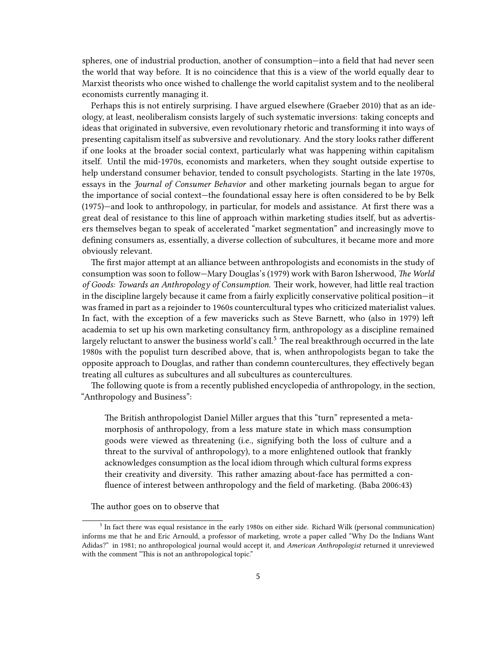spheres, one of industrial production, another of consumption—into a field that had never seen the world that way before. It is no coincidence that this is a view of the world equally dear to Marxist theorists who once wished to challenge the world capitalist system and to the neoliberal economists currently managing it.

Perhaps this is not entirely surprising. I have argued elsewhere (Graeber 2010) that as an ideology, at least, neoliberalism consists largely of such systematic inversions: taking concepts and ideas that originated in subversive, even revolutionary rhetoric and transforming it into ways of presenting capitalism itself as subversive and revolutionary. And the story looks rather different if one looks at the broader social context, particularly what was happening within capitalism itself. Until the mid-1970s, economists and marketers, when they sought outside expertise to help understand consumer behavior, tended to consult psychologists. Starting in the late 1970s, essays in the *Journal of Consumer Behavior* and other marketing journals began to argue for the importance of social context—the foundational essay here is often considered to be by Belk (1975)—and look to anthropology, in particular, for models and assistance. At first there was a great deal of resistance to this line of approach within marketing studies itself, but as advertisers themselves began to speak of accelerated "market segmentation" and increasingly move to defining consumers as, essentially, a diverse collection of subcultures, it became more and more obviously relevant.

The first major attempt at an alliance between anthropologists and economists in the study of consumption was soon to follow—Mary Douglas's (1979) work with Baron Isherwood, *The World of Goods: Towards an Anthropology of Consumption*. Their work, however, had little real traction in the discipline largely because it came from a fairly explicitly conservative political position—it was framed in part as a rejoinder to 1960s countercultural types who criticized materialist values. In fact, with the exception of a few mavericks such as Steve Barnett, who (also in 1979) left academia to set up his own marketing consultancy firm, anthropology as a discipline remained largely reluctant to answer the business world's call.<sup>5</sup> The real breakthrough occurred in the late 1980s with the populist turn described above, that is, when anthropologists began to take the opposite approach to Douglas, and rather than condemn countercultures, they effectively began treating all cultures as subcultures and all subcultures as countercultures.

The following quote is from a recently published encyclopedia of anthropology, in the section, "Anthropology and Business":

The British anthropologist Daniel Miller argues that this "turn" represented a metamorphosis of anthropology, from a less mature state in which mass consumption goods were viewed as threatening (i.e., signifying both the loss of culture and a threat to the survival of anthropology), to a more enlightened outlook that frankly acknowledges consumption as the local idiom through which cultural forms express their creativity and diversity. This rather amazing about-face has permitted a confluence of interest between anthropology and the field of marketing. (Baba 2006:43)

The author goes on to observe that

<sup>&</sup>lt;sup>5</sup> In fact there was equal resistance in the early 1980s on either side. Richard Wilk (personal communication) informs me that he and Eric Arnould, a professor of marketing, wrote a paper called "Why Do the Indians Want Adidas?" in 1981; no anthropological journal would accept it, and *American Anthropologist* returned it unreviewed with the comment "This is not an anthropological topic."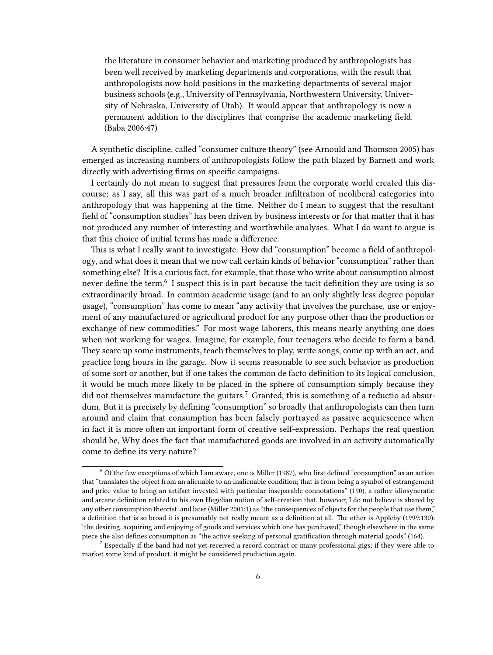the literature in consumer behavior and marketing produced by anthropologists has been well received by marketing departments and corporations, with the result that anthropologists now hold positions in the marketing departments of several major business schools (e.g., University of Pennsylvania, Northwestern University, University of Nebraska, University of Utah). It would appear that anthropology is now a permanent addition to the disciplines that comprise the academic marketing field. (Baba 2006:47)

A synthetic discipline, called "consumer culture theory" (see Arnould and Thomson 2005) has emerged as increasing numbers of anthropologists follow the path blazed by Barnett and work directly with advertising firms on specific campaigns.

I certainly do not mean to suggest that pressures from the corporate world created this discourse; as I say, all this was part of a much broader infiltration of neoliberal categories into anthropology that was happening at the time. Neither do I mean to suggest that the resultant field of "consumption studies" has been driven by business interests or for that matter that it has not produced any number of interesting and worthwhile analyses. What I do want to argue is that this choice of initial terms has made a difference.

This is what I really want to investigate. How did "consumption" become a field of anthropology, and what does it mean that we now call certain kinds of behavior "consumption" rather than something else? It is a curious fact, for example, that those who write about consumption almost never define the term.<sup>6</sup> I suspect this is in part because the tacit definition they are using is so extraordinarily broad. In common academic usage (and to an only slightly less degree popular usage), "consumption" has come to mean "any activity that involves the purchase, use or enjoyment of any manufactured or agricultural product for any purpose other than the production or exchange of new commodities." For most wage laborers, this means nearly anything one does when not working for wages. Imagine, for example, four teenagers who decide to form a band. They scare up some instruments, teach themselves to play, write songs, come up with an act, and practice long hours in the garage. Now it seems reasonable to see such behavior as production of some sort or another, but if one takes the common de facto definition to its logical conclusion, it would be much more likely to be placed in the sphere of consumption simply because they did not themselves manufacture the guitars.<sup>7</sup> Granted, this is something of a reductio ad absurdum. But it is precisely by defining "consumption" so broadly that anthropologists can then turn around and claim that consumption has been falsely portrayed as passive acquiescence when in fact it is more often an important form of creative self-expression. Perhaps the real question should be, Why does the fact that manufactured goods are involved in an activity automatically come to define its very nature?

<sup>6</sup> Of the few exceptions of which I am aware, one is Miller (1987), who first defined "consumption" as an action that "translates the object from an alienable to an inalienable condition; that is from being a symbol of estrangement and price value to being an artifact invested with particular inseparable connotations" (190), a rather idiosyncratic and arcane definition related to his own Hegelian notion of self-creation that, however, I do not believe is shared by any other consumption theorist, and later (Miller 2001:1) as "the consequences of objects for the people that use them," a definition that is so broad it is presumably not really meant as a definition at all. The other is Appleby (1999:130): "the desiring, acquiring and enjoying of goods and services which one has purchased," though elsewhere in the same piece she also defines consumption as "the active seeking of personal gratification through material goods" (164).

 $^7$  Especially if the band had not yet received a record contract or many professional gigs; if they were able to market some kind of product, it might be considered production again.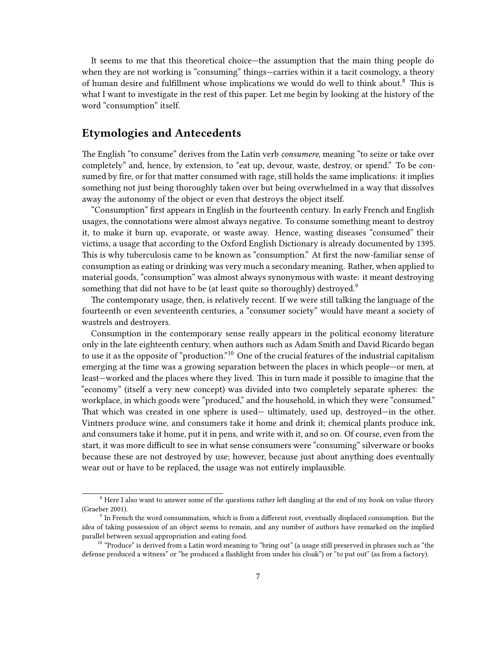It seems to me that this theoretical choice—the assumption that the main thing people do when they are not working is "consuming" things—carries within it a tacit cosmology, a theory of human desire and fulfillment whose implications we would do well to think about.<sup>8</sup> This is what I want to investigate in the rest of this paper. Let me begin by looking at the history of the word "consumption" itself.

# <span id="page-6-0"></span>**Etymologies and Antecedents**

The English "to consume" derives from the Latin verb *consumere*, meaning "to seize or take over completely" and, hence, by extension, to "eat up, devour, waste, destroy, or spend." To be consumed by fire, or for that matter consumed with rage, still holds the same implications: it implies something not just being thoroughly taken over but being overwhelmed in a way that dissolves away the autonomy of the object or even that destroys the object itself.

"Consumption" first appears in English in the fourteenth century. In early French and English usages, the connotations were almost always negative. To consume something meant to destroy it, to make it burn up, evaporate, or waste away. Hence, wasting diseases "consumed" their victims, a usage that according to the Oxford English Dictionary is already documented by 1395. This is why tuberculosis came to be known as "consumption." At first the now-familiar sense of consumption as eating or drinking was very much a secondary meaning. Rather, when applied to material goods, "consumption" was almost always synonymous with waste: it meant destroying something that did not have to be (at least quite so thoroughly) destroyed.<sup>9</sup>

The contemporary usage, then, is relatively recent. If we were still talking the language of the fourteenth or even seventeenth centuries, a "consumer society" would have meant a society of wastrels and destroyers.

Consumption in the contemporary sense really appears in the political economy literature only in the late eighteenth century, when authors such as Adam Smith and David Ricardo began to use it as the opposite of "production."<sup>10</sup> One of the crucial features of the industrial capitalism emerging at the time was a growing separation between the places in which people—or men, at least—worked and the places where they lived. This in turn made it possible to imagine that the "economy" (itself a very new concept) was divided into two completely separate spheres: the workplace, in which goods were "produced," and the household, in which they were "consumed." That which was created in one sphere is used— ultimately, used up, destroyed—in the other. Vintners produce wine, and consumers take it home and drink it; chemical plants produce ink, and consumers take it home, put it in pens, and write with it, and so on. Of course, even from the start, it was more difficult to see in what sense consumers were "consuming" silverware or books because these are not destroyed by use; however, because just about anything does eventually wear out or have to be replaced, the usage was not entirely implausible.

<sup>&</sup>lt;sup>8</sup> Here I also want to answer some of the questions rather left dangling at the end of my book on value theory (Graeber 2001).

<sup>&</sup>lt;sup>9</sup> In French the word consummation, which is from a different root, eventually displaced consumption. But the idea of taking possession of an object seems to remain, and any number of authors have remarked on the implied parallel between sexual appropriation and eating food.

<sup>&</sup>lt;sup>10</sup> "Produce" is derived from a Latin word meaning to "bring out" (a usage still preserved in phrases such as "the defense produced a witness" or "he produced a flashlight from under his cloak") or "to put out" (as from a factory).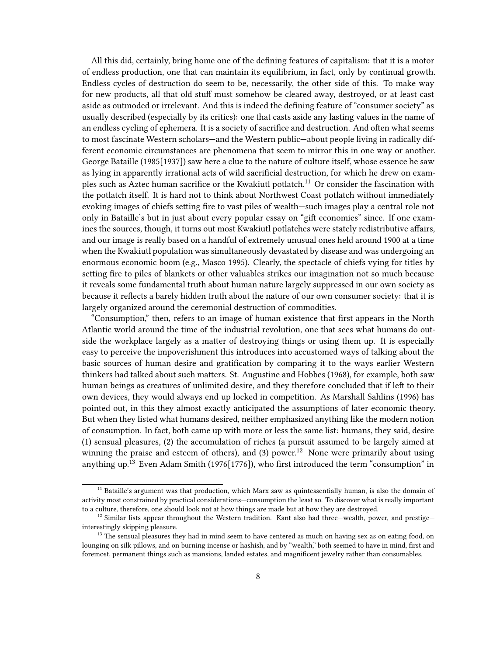All this did, certainly, bring home one of the defining features of capitalism: that it is a motor of endless production, one that can maintain its equilibrium, in fact, only by continual growth. Endless cycles of destruction do seem to be, necessarily, the other side of this. To make way for new products, all that old stuff must somehow be cleared away, destroyed, or at least cast aside as outmoded or irrelevant. And this is indeed the defining feature of "consumer society" as usually described (especially by its critics): one that casts aside any lasting values in the name of an endless cycling of ephemera. It is a society of sacrifice and destruction. And often what seems to most fascinate Western scholars—and the Western public—about people living in radically different economic circumstances are phenomena that seem to mirror this in one way or another. George Bataille (1985[1937]) saw here a clue to the nature of culture itself, whose essence he saw as lying in apparently irrational acts of wild sacrificial destruction, for which he drew on examples such as Aztec human sacrifice or the Kwakiutl potlatch.<sup>11</sup> Or consider the fascination with the potlatch itself. It is hard not to think about Northwest Coast potlatch without immediately evoking images of chiefs setting fire to vast piles of wealth—such images play a central role not only in Bataille's but in just about every popular essay on "gift economies" since. If one examines the sources, though, it turns out most Kwakiutl potlatches were stately redistributive affairs, and our image is really based on a handful of extremely unusual ones held around 1900 at a time when the Kwakiutl population was simultaneously devastated by disease and was undergoing an enormous economic boom (e.g., Masco 1995). Clearly, the spectacle of chiefs vying for titles by setting fire to piles of blankets or other valuables strikes our imagination not so much because it reveals some fundamental truth about human nature largely suppressed in our own society as because it reflects a barely hidden truth about the nature of our own consumer society: that it is largely organized around the ceremonial destruction of commodities.

"Consumption," then, refers to an image of human existence that first appears in the North Atlantic world around the time of the industrial revolution, one that sees what humans do outside the workplace largely as a matter of destroying things or using them up. It is especially easy to perceive the impoverishment this introduces into accustomed ways of talking about the basic sources of human desire and gratification by comparing it to the ways earlier Western thinkers had talked about such matters. St. Augustine and Hobbes (1968), for example, both saw human beings as creatures of unlimited desire, and they therefore concluded that if left to their own devices, they would always end up locked in competition. As Marshall Sahlins (1996) has pointed out, in this they almost exactly anticipated the assumptions of later economic theory. But when they listed what humans desired, neither emphasized anything like the modern notion of consumption. In fact, both came up with more or less the same list: humans, they said, desire (1) sensual pleasures, (2) the accumulation of riches (a pursuit assumed to be largely aimed at winning the praise and esteem of others), and (3) power.<sup>12</sup> None were primarily about using anything up.<sup>13</sup> Even Adam Smith (1976[1776]), who first introduced the term "consumption" in

<sup>&</sup>lt;sup>11</sup> Bataille's argument was that production, which Marx saw as quintessentially human, is also the domain of activity most constrained by practical considerations—consumption the least so. To discover what is really important to a culture, therefore, one should look not at how things are made but at how they are destroyed.

<sup>&</sup>lt;sup>12</sup> Similar lists appear throughout the Western tradition. Kant also had three—wealth, power, and prestige interestingly skipping pleasure.

<sup>&</sup>lt;sup>13</sup> The sensual pleasures they had in mind seem to have centered as much on having sex as on eating food, on lounging on silk pillows, and on burning incense or hashish, and by "wealth," both seemed to have in mind, first and foremost, permanent things such as mansions, landed estates, and magnificent jewelry rather than consumables.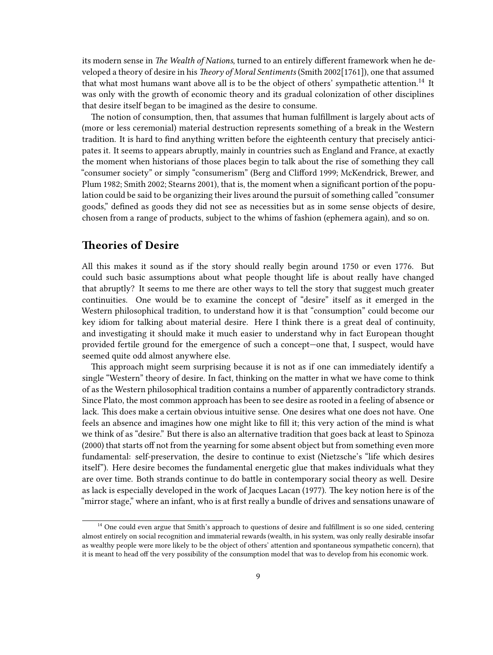its modern sense in *The Wealth of Nations*, turned to an entirely different framework when he developed a theory of desire in his *Theory of Moral Sentiments* (Smith 2002[1761]), one that assumed that what most humans want above all is to be the object of others' sympathetic attention.<sup>14</sup> It was only with the growth of economic theory and its gradual colonization of other disciplines that desire itself began to be imagined as the desire to consume.

The notion of consumption, then, that assumes that human fulfillment is largely about acts of (more or less ceremonial) material destruction represents something of a break in the Western tradition. It is hard to find anything written before the eighteenth century that precisely anticipates it. It seems to appears abruptly, mainly in countries such as England and France, at exactly the moment when historians of those places begin to talk about the rise of something they call "consumer society" or simply "consumerism" (Berg and Clifford 1999; McKendrick, Brewer, and Plum 1982; Smith 2002; Stearns 2001), that is, the moment when a significant portion of the population could be said to be organizing their lives around the pursuit of something called "consumer goods," defined as goods they did not see as necessities but as in some sense objects of desire, chosen from a range of products, subject to the whims of fashion (ephemera again), and so on.

## <span id="page-8-0"></span>**Theories of Desire**

All this makes it sound as if the story should really begin around 1750 or even 1776. But could such basic assumptions about what people thought life is about really have changed that abruptly? It seems to me there are other ways to tell the story that suggest much greater continuities. One would be to examine the concept of "desire" itself as it emerged in the Western philosophical tradition, to understand how it is that "consumption" could become our key idiom for talking about material desire. Here I think there is a great deal of continuity, and investigating it should make it much easier to understand why in fact European thought provided fertile ground for the emergence of such a concept—one that, I suspect, would have seemed quite odd almost anywhere else.

This approach might seem surprising because it is not as if one can immediately identify a single "Western" theory of desire. In fact, thinking on the matter in what we have come to think of as the Western philosophical tradition contains a number of apparently contradictory strands. Since Plato, the most common approach has been to see desire as rooted in a feeling of absence or lack. This does make a certain obvious intuitive sense. One desires what one does not have. One feels an absence and imagines how one might like to fill it; this very action of the mind is what we think of as "desire." But there is also an alternative tradition that goes back at least to Spinoza (2000) that starts off not from the yearning for some absent object but from something even more fundamental: self-preservation, the desire to continue to exist (Nietzsche's "life which desires itself"). Here desire becomes the fundamental energetic glue that makes individuals what they are over time. Both strands continue to do battle in contemporary social theory as well. Desire as lack is especially developed in the work of Jacques Lacan (1977). The key notion here is of the "mirror stage," where an infant, who is at first really a bundle of drives and sensations unaware of

<sup>&</sup>lt;sup>14</sup> One could even argue that Smith's approach to questions of desire and fulfillment is so one sided, centering almost entirely on social recognition and immaterial rewards (wealth, in his system, was only really desirable insofar as wealthy people were more likely to be the object of others' attention and spontaneous sympathetic concern), that it is meant to head off the very possibility of the consumption model that was to develop from his economic work.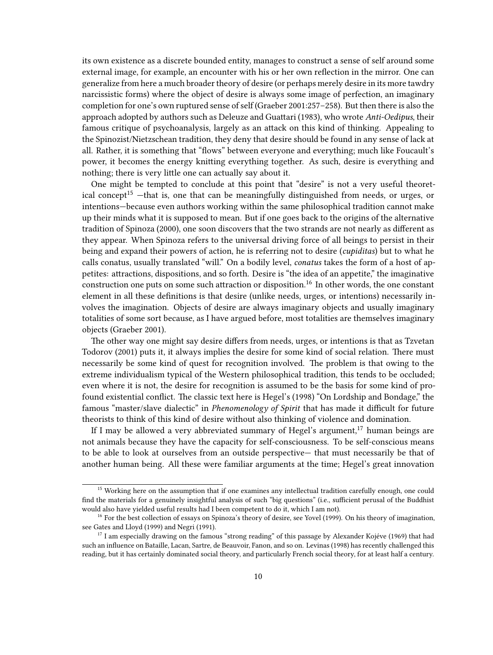its own existence as a discrete bounded entity, manages to construct a sense of self around some external image, for example, an encounter with his or her own reflection in the mirror. One can generalize from here a much broader theory of desire (or perhaps merely desire in its more tawdry narcissistic forms) where the object of desire is always some image of perfection, an imaginary completion for one's own ruptured sense of self (Graeber 2001:257–258). But then there is also the approach adopted by authors such as Deleuze and Guattari (1983), who wrote *Anti-Oedipus*, their famous critique of psychoanalysis, largely as an attack on this kind of thinking. Appealing to the Spinozist/Nietzschean tradition, they deny that desire should be found in any sense of lack at all. Rather, it is something that "flows" between everyone and everything; much like Foucault's power, it becomes the energy knitting everything together. As such, desire is everything and nothing; there is very little one can actually say about it.

One might be tempted to conclude at this point that "desire" is not a very useful theoretical concept<sup>15</sup> —that is, one that can be meaningfully distinguished from needs, or urges, or intentions—because even authors working within the same philosophical tradition cannot make up their minds what it is supposed to mean. But if one goes back to the origins of the alternative tradition of Spinoza (2000), one soon discovers that the two strands are not nearly as different as they appear. When Spinoza refers to the universal driving force of all beings to persist in their being and expand their powers of action, he is referring not to desire (*cupiditas*) but to what he calls conatus, usually translated "will." On a bodily level, *conatus* takes the form of a host of appetites: attractions, dispositions, and so forth. Desire is "the idea of an appetite," the imaginative construction one puts on some such attraction or disposition.<sup>16</sup> In other words, the one constant element in all these definitions is that desire (unlike needs, urges, or intentions) necessarily involves the imagination. Objects of desire are always imaginary objects and usually imaginary totalities of some sort because, as I have argued before, most totalities are themselves imaginary objects (Graeber 2001).

The other way one might say desire differs from needs, urges, or intentions is that as Tzvetan Todorov (2001) puts it, it always implies the desire for some kind of social relation. There must necessarily be some kind of quest for recognition involved. The problem is that owing to the extreme individualism typical of the Western philosophical tradition, this tends to be occluded; even where it is not, the desire for recognition is assumed to be the basis for some kind of profound existential conflict. The classic text here is Hegel's (1998) "On Lordship and Bondage," the famous "master/slave dialectic" in *Phenomenology of Spirit* that has made it difficult for future theorists to think of this kind of desire without also thinking of violence and domination.

If I may be allowed a very abbreviated summary of Hegel's argument, $17$  human beings are not animals because they have the capacity for self-consciousness. To be self-conscious means to be able to look at ourselves from an outside perspective— that must necessarily be that of another human being. All these were familiar arguments at the time; Hegel's great innovation

<sup>&</sup>lt;sup>15</sup> Working here on the assumption that if one examines any intellectual tradition carefully enough, one could find the materials for a genuinely insightful analysis of such "big questions" (i.e., sufficient perusal of the Buddhist would also have yielded useful results had I been competent to do it, which I am not).

<sup>&</sup>lt;sup>16</sup> For the best collection of essays on Spinoza's theory of desire, see Yovel (1999). On his theory of imagination, see Gates and Lloyd (1999) and Negri (1991).

<sup>&</sup>lt;sup>17</sup> I am especially drawing on the famous "strong reading" of this passage by Alexander Kojéve (1969) that had such an influence on Bataille, Lacan, Sartre, de Beauvoir, Fanon, and so on. Levinas (1998) has recently challenged this reading, but it has certainly dominated social theory, and particularly French social theory, for at least half a century.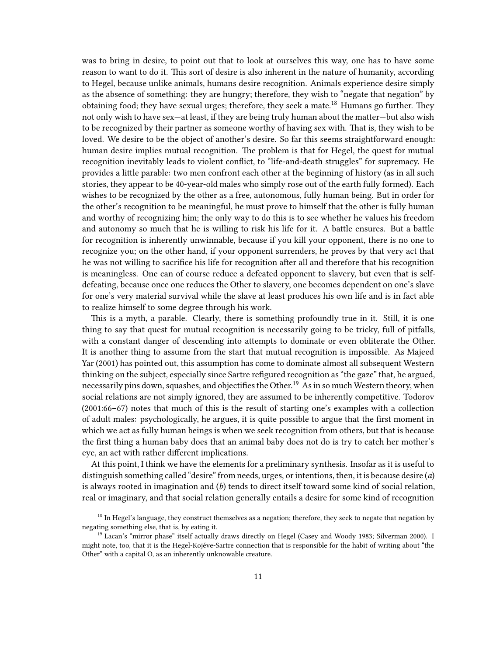was to bring in desire, to point out that to look at ourselves this way, one has to have some reason to want to do it. This sort of desire is also inherent in the nature of humanity, according to Hegel, because unlike animals, humans desire recognition. Animals experience desire simply as the absence of something: they are hungry; therefore, they wish to "negate that negation" by obtaining food; they have sexual urges; therefore, they seek a mate.<sup>18</sup> Humans go further. They not only wish to have sex—at least, if they are being truly human about the matter—but also wish to be recognized by their partner as someone worthy of having sex with. That is, they wish to be loved. We desire to be the object of another's desire. So far this seems straightforward enough: human desire implies mutual recognition. The problem is that for Hegel, the quest for mutual recognition inevitably leads to violent conflict, to "life-and-death struggles" for supremacy. He provides a little parable: two men confront each other at the beginning of history (as in all such stories, they appear to be 40-year-old males who simply rose out of the earth fully formed). Each wishes to be recognized by the other as a free, autonomous, fully human being. But in order for the other's recognition to be meaningful, he must prove to himself that the other is fully human and worthy of recognizing him; the only way to do this is to see whether he values his freedom and autonomy so much that he is willing to risk his life for it. A battle ensures. But a battle for recognition is inherently unwinnable, because if you kill your opponent, there is no one to recognize you; on the other hand, if your opponent surrenders, he proves by that very act that he was not willing to sacrifice his life for recognition after all and therefore that his recognition is meaningless. One can of course reduce a defeated opponent to slavery, but even that is selfdefeating, because once one reduces the Other to slavery, one becomes dependent on one's slave for one's very material survival while the slave at least produces his own life and is in fact able to realize himself to some degree through his work.

This is a myth, a parable. Clearly, there is something profoundly true in it. Still, it is one thing to say that quest for mutual recognition is necessarily going to be tricky, full of pitfalls, with a constant danger of descending into attempts to dominate or even obliterate the Other. It is another thing to assume from the start that mutual recognition is impossible. As Majeed Yar (2001) has pointed out, this assumption has come to dominate almost all subsequent Western thinking on the subject, especially since Sartre refigured recognition as "the gaze" that, he argued, necessarily pins down, squashes, and objectifies the Other.<sup>19</sup> As in so much Western theory, when social relations are not simply ignored, they are assumed to be inherently competitive. Todorov (2001:66–67) notes that much of this is the result of starting one's examples with a collection of adult males: psychologically, he argues, it is quite possible to argue that the first moment in which we act as fully human beings is when we seek recognition from others, but that is because the first thing a human baby does that an animal baby does not do is try to catch her mother's eye, an act with rather different implications.

At this point, I think we have the elements for a preliminary synthesis. Insofar as it is useful to distinguish something called "desire" from needs, urges, or intentions, then, it is because desire (*a*) is always rooted in imagination and (*b*) tends to direct itself toward some kind of social relation, real or imaginary, and that social relation generally entails a desire for some kind of recognition

<sup>&</sup>lt;sup>18</sup> In Hegel's language, they construct themselves as a negation; therefore, they seek to negate that negation by negating something else, that is, by eating it.

<sup>&</sup>lt;sup>19</sup> Lacan's "mirror phase" itself actually draws directly on Hegel (Casey and Woody 1983; Silverman 2000). I might note, too, that it is the Hegel-Kojéve-Sartre connection that is responsible for the habit of writing about "the Other" with a capital O, as an inherently unknowable creature.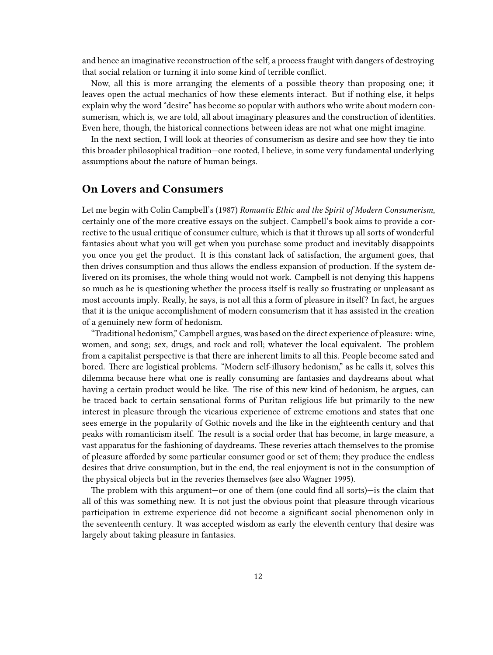and hence an imaginative reconstruction of the self, a process fraught with dangers of destroying that social relation or turning it into some kind of terrible conflict.

Now, all this is more arranging the elements of a possible theory than proposing one; it leaves open the actual mechanics of how these elements interact. But if nothing else, it helps explain why the word "desire" has become so popular with authors who write about modern consumerism, which is, we are told, all about imaginary pleasures and the construction of identities. Even here, though, the historical connections between ideas are not what one might imagine.

In the next section, I will look at theories of consumerism as desire and see how they tie into this broader philosophical tradition—one rooted, I believe, in some very fundamental underlying assumptions about the nature of human beings.

## <span id="page-11-0"></span>**On Lovers and Consumers**

Let me begin with Colin Campbell's (1987) *Romantic Ethic and the Spirit of Modern Consumerism*, certainly one of the more creative essays on the subject. Campbell's book aims to provide a corrective to the usual critique of consumer culture, which is that it throws up all sorts of wonderful fantasies about what you will get when you purchase some product and inevitably disappoints you once you get the product. It is this constant lack of satisfaction, the argument goes, that then drives consumption and thus allows the endless expansion of production. If the system delivered on its promises, the whole thing would not work. Campbell is not denying this happens so much as he is questioning whether the process itself is really so frustrating or unpleasant as most accounts imply. Really, he says, is not all this a form of pleasure in itself? In fact, he argues that it is the unique accomplishment of modern consumerism that it has assisted in the creation of a genuinely new form of hedonism.

"Traditional hedonism," Campbell argues, was based on the direct experience of pleasure: wine, women, and song; sex, drugs, and rock and roll; whatever the local equivalent. The problem from a capitalist perspective is that there are inherent limits to all this. People become sated and bored. There are logistical problems. "Modern self-illusory hedonism," as he calls it, solves this dilemma because here what one is really consuming are fantasies and daydreams about what having a certain product would be like. The rise of this new kind of hedonism, he argues, can be traced back to certain sensational forms of Puritan religious life but primarily to the new interest in pleasure through the vicarious experience of extreme emotions and states that one sees emerge in the popularity of Gothic novels and the like in the eighteenth century and that peaks with romanticism itself. The result is a social order that has become, in large measure, a vast apparatus for the fashioning of daydreams. These reveries attach themselves to the promise of pleasure afforded by some particular consumer good or set of them; they produce the endless desires that drive consumption, but in the end, the real enjoyment is not in the consumption of the physical objects but in the reveries themselves (see also Wagner 1995).

The problem with this argument—or one of them (one could find all sorts)—is the claim that all of this was something new. It is not just the obvious point that pleasure through vicarious participation in extreme experience did not become a significant social phenomenon only in the seventeenth century. It was accepted wisdom as early the eleventh century that desire was largely about taking pleasure in fantasies.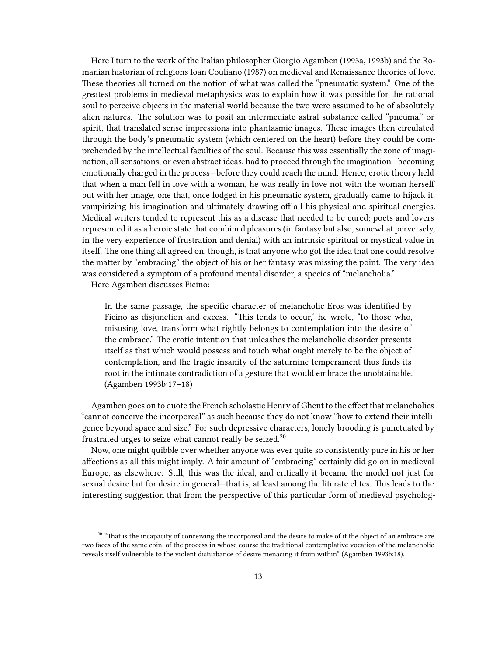Here I turn to the work of the Italian philosopher Giorgio Agamben (1993a, 1993b) and the Romanian historian of religions Ioan Couliano (1987) on medieval and Renaissance theories of love. These theories all turned on the notion of what was called the "pneumatic system." One of the greatest problems in medieval metaphysics was to explain how it was possible for the rational soul to perceive objects in the material world because the two were assumed to be of absolutely alien natures. The solution was to posit an intermediate astral substance called "pneuma," or spirit, that translated sense impressions into phantasmic images. These images then circulated through the body's pneumatic system (which centered on the heart) before they could be comprehended by the intellectual faculties of the soul. Because this was essentially the zone of imagination, all sensations, or even abstract ideas, had to proceed through the imagination—becoming emotionally charged in the process—before they could reach the mind. Hence, erotic theory held that when a man fell in love with a woman, he was really in love not with the woman herself but with her image, one that, once lodged in his pneumatic system, gradually came to hijack it, vampirizing his imagination and ultimately drawing off all his physical and spiritual energies. Medical writers tended to represent this as a disease that needed to be cured; poets and lovers represented it as a heroic state that combined pleasures (in fantasy but also, somewhat perversely, in the very experience of frustration and denial) with an intrinsic spiritual or mystical value in itself. The one thing all agreed on, though, is that anyone who got the idea that one could resolve the matter by "embracing" the object of his or her fantasy was missing the point. The very idea was considered a symptom of a profound mental disorder, a species of "melancholia."

Here Agamben discusses Ficino:

In the same passage, the specific character of melancholic Eros was identified by Ficino as disjunction and excess. "This tends to occur," he wrote, "to those who, misusing love, transform what rightly belongs to contemplation into the desire of the embrace." The erotic intention that unleashes the melancholic disorder presents itself as that which would possess and touch what ought merely to be the object of contemplation, and the tragic insanity of the saturnine temperament thus finds its root in the intimate contradiction of a gesture that would embrace the unobtainable. (Agamben 1993b:17–18)

Agamben goes on to quote the French scholastic Henry of Ghent to the effect that melancholics "cannot conceive the incorporeal" as such because they do not know "how to extend their intelligence beyond space and size." For such depressive characters, lonely brooding is punctuated by frustrated urges to seize what cannot really be seized.<sup>20</sup>

Now, one might quibble over whether anyone was ever quite so consistently pure in his or her affections as all this might imply. A fair amount of "embracing" certainly did go on in medieval Europe, as elsewhere. Still, this was the ideal, and critically it became the model not just for sexual desire but for desire in general—that is, at least among the literate elites. This leads to the interesting suggestion that from the perspective of this particular form of medieval psycholog-

<sup>&</sup>lt;sup>20</sup> "That is the incapacity of conceiving the incorporeal and the desire to make of it the object of an embrace are two faces of the same coin, of the process in whose course the traditional contemplative vocation of the melancholic reveals itself vulnerable to the violent disturbance of desire menacing it from within" (Agamben 1993b:18).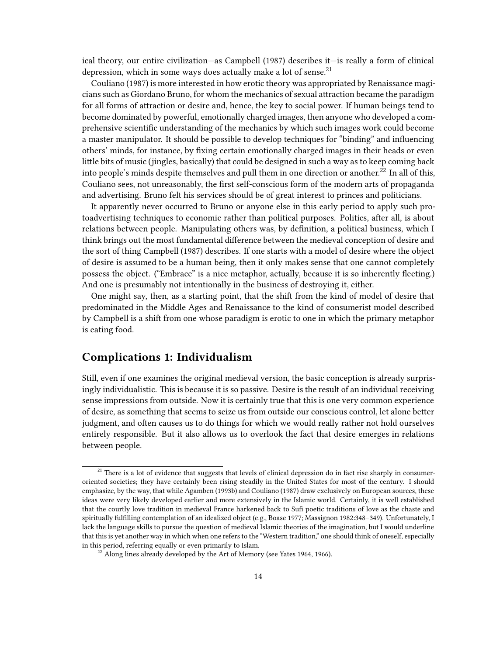ical theory, our entire civilization—as Campbell (1987) describes it—is really a form of clinical depression, which in some ways does actually make a lot of sense.<sup>21</sup>

Couliano (1987) is more interested in how erotic theory was appropriated by Renaissance magicians such as Giordano Bruno, for whom the mechanics of sexual attraction became the paradigm for all forms of attraction or desire and, hence, the key to social power. If human beings tend to become dominated by powerful, emotionally charged images, then anyone who developed a comprehensive scientific understanding of the mechanics by which such images work could become a master manipulator. It should be possible to develop techniques for "binding" and influencing others' minds, for instance, by fixing certain emotionally charged images in their heads or even little bits of music (jingles, basically) that could be designed in such a way as to keep coming back into people's minds despite themselves and pull them in one direction or another.<sup>22</sup> In all of this, Couliano sees, not unreasonably, the first self-conscious form of the modern arts of propaganda and advertising. Bruno felt his services should be of great interest to princes and politicians.

It apparently never occurred to Bruno or anyone else in this early period to apply such protoadvertising techniques to economic rather than political purposes. Politics, after all, is about relations between people. Manipulating others was, by definition, a political business, which I think brings out the most fundamental difference between the medieval conception of desire and the sort of thing Campbell (1987) describes. If one starts with a model of desire where the object of desire is assumed to be a human being, then it only makes sense that one cannot completely possess the object. ("Embrace" is a nice metaphor, actually, because it is so inherently fleeting.) And one is presumably not intentionally in the business of destroying it, either.

One might say, then, as a starting point, that the shift from the kind of model of desire that predominated in the Middle Ages and Renaissance to the kind of consumerist model described by Campbell is a shift from one whose paradigm is erotic to one in which the primary metaphor is eating food.

### <span id="page-13-0"></span>**Complications 1: Individualism**

Still, even if one examines the original medieval version, the basic conception is already surprisingly individualistic. This is because it is so passive. Desire is the result of an individual receiving sense impressions from outside. Now it is certainly true that this is one very common experience of desire, as something that seems to seize us from outside our conscious control, let alone better judgment, and often causes us to do things for which we would really rather not hold ourselves entirely responsible. But it also allows us to overlook the fact that desire emerges in relations between people.

<sup>&</sup>lt;sup>21</sup> There is a lot of evidence that suggests that levels of clinical depression do in fact rise sharply in consumeroriented societies; they have certainly been rising steadily in the United States for most of the century. I should emphasize, by the way, that while Agamben (1993b) and Couliano (1987) draw exclusively on European sources, these ideas were very likely developed earlier and more extensively in the Islamic world. Certainly, it is well established that the courtly love tradition in medieval France harkened back to Sufi poetic traditions of love as the chaste and spiritually fulfilling contemplation of an idealized object (e.g., Boase 1977; Massignon 1982:348–349). Unfortunately, I lack the language skills to pursue the question of medieval Islamic theories of the imagination, but I would underline that this is yet another way in which when one refers to the "Western tradition," one should think of oneself, especially in this period, referring equally or even primarily to Islam.

 $^{22}$  Along lines already developed by the Art of Memory (see Yates 1964, 1966).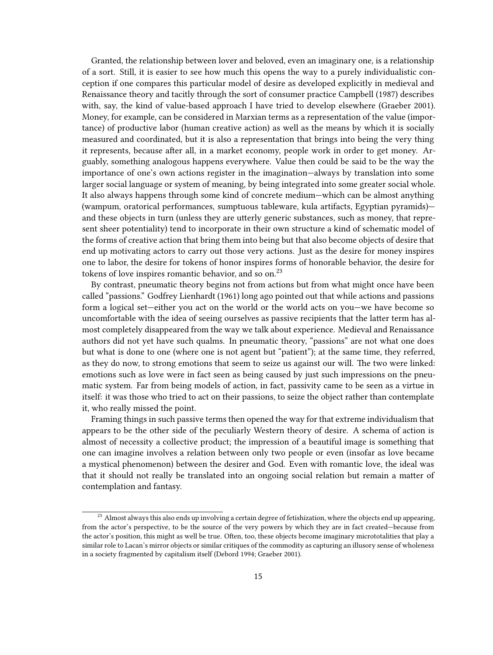Granted, the relationship between lover and beloved, even an imaginary one, is a relationship of a sort. Still, it is easier to see how much this opens the way to a purely individualistic conception if one compares this particular model of desire as developed explicitly in medieval and Renaissance theory and tacitly through the sort of consumer practice Campbell (1987) describes with, say, the kind of value-based approach I have tried to develop elsewhere (Graeber 2001). Money, for example, can be considered in Marxian terms as a representation of the value (importance) of productive labor (human creative action) as well as the means by which it is socially measured and coordinated, but it is also a representation that brings into being the very thing it represents, because after all, in a market economy, people work in order to get money. Arguably, something analogous happens everywhere. Value then could be said to be the way the importance of one's own actions register in the imagination—always by translation into some larger social language or system of meaning, by being integrated into some greater social whole. It also always happens through some kind of concrete medium—which can be almost anything (wampum, oratorical performances, sumptuous tableware, kula artifacts, Egyptian pyramids) and these objects in turn (unless they are utterly generic substances, such as money, that represent sheer potentiality) tend to incorporate in their own structure a kind of schematic model of the forms of creative action that bring them into being but that also become objects of desire that end up motivating actors to carry out those very actions. Just as the desire for money inspires one to labor, the desire for tokens of honor inspires forms of honorable behavior, the desire for tokens of love inspires romantic behavior, and so on.<sup>23</sup>

By contrast, pneumatic theory begins not from actions but from what might once have been called "passions." Godfrey Lienhardt (1961) long ago pointed out that while actions and passions form a logical set—either you act on the world or the world acts on you—we have become so uncomfortable with the idea of seeing ourselves as passive recipients that the latter term has almost completely disappeared from the way we talk about experience. Medieval and Renaissance authors did not yet have such qualms. In pneumatic theory, "passions" are not what one does but what is done to one (where one is not agent but "patient"); at the same time, they referred, as they do now, to strong emotions that seem to seize us against our will. The two were linked: emotions such as love were in fact seen as being caused by just such impressions on the pneumatic system. Far from being models of action, in fact, passivity came to be seen as a virtue in itself: it was those who tried to act on their passions, to seize the object rather than contemplate it, who really missed the point.

Framing things in such passive terms then opened the way for that extreme individualism that appears to be the other side of the peculiarly Western theory of desire. A schema of action is almost of necessity a collective product; the impression of a beautiful image is something that one can imagine involves a relation between only two people or even (insofar as love became a mystical phenomenon) between the desirer and God. Even with romantic love, the ideal was that it should not really be translated into an ongoing social relation but remain a matter of contemplation and fantasy.

 $23$  Almost always this also ends up involving a certain degree of fetishization, where the objects end up appearing, from the actor's perspective, to be the source of the very powers by which they are in fact created—because from the actor's position, this might as well be true. Often, too, these objects become imaginary micrototalities that play a similar role to Lacan's mirror objects or similar critiques of the commodity as capturing an illusory sense of wholeness in a society fragmented by capitalism itself (Debord 1994; Graeber 2001).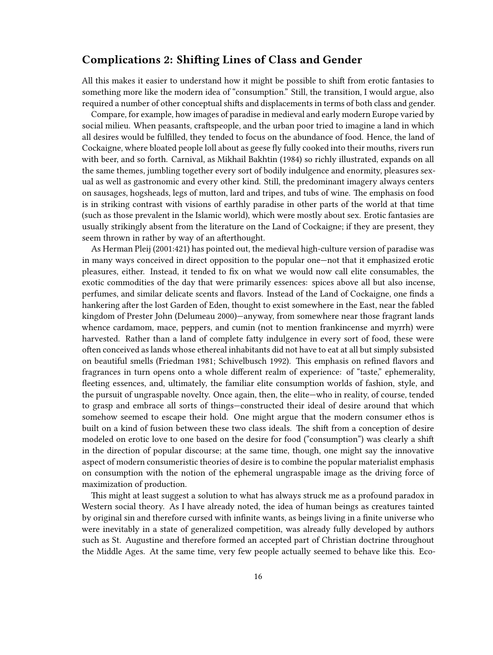# <span id="page-15-0"></span>**Complications 2: Shifting Lines of Class and Gender**

All this makes it easier to understand how it might be possible to shift from erotic fantasies to something more like the modern idea of "consumption." Still, the transition, I would argue, also required a number of other conceptual shifts and displacements in terms of both class and gender.

Compare, for example, how images of paradise in medieval and early modern Europe varied by social milieu. When peasants, craftspeople, and the urban poor tried to imagine a land in which all desires would be fulfilled, they tended to focus on the abundance of food. Hence, the land of Cockaigne, where bloated people loll about as geese fly fully cooked into their mouths, rivers run with beer, and so forth. Carnival, as Mikhail Bakhtin (1984) so richly illustrated, expands on all the same themes, jumbling together every sort of bodily indulgence and enormity, pleasures sexual as well as gastronomic and every other kind. Still, the predominant imagery always centers on sausages, hogsheads, legs of mutton, lard and tripes, and tubs of wine. The emphasis on food is in striking contrast with visions of earthly paradise in other parts of the world at that time (such as those prevalent in the Islamic world), which were mostly about sex. Erotic fantasies are usually strikingly absent from the literature on the Land of Cockaigne; if they are present, they seem thrown in rather by way of an afterthought.

As Herman Pleij (2001:421) has pointed out, the medieval high-culture version of paradise was in many ways conceived in direct opposition to the popular one—not that it emphasized erotic pleasures, either. Instead, it tended to fix on what we would now call elite consumables, the exotic commodities of the day that were primarily essences: spices above all but also incense, perfumes, and similar delicate scents and flavors. Instead of the Land of Cockaigne, one finds a hankering after the lost Garden of Eden, thought to exist somewhere in the East, near the fabled kingdom of Prester John (Delumeau 2000)—anyway, from somewhere near those fragrant lands whence cardamom, mace, peppers, and cumin (not to mention frankincense and myrrh) were harvested. Rather than a land of complete fatty indulgence in every sort of food, these were often conceived as lands whose ethereal inhabitants did not have to eat at all but simply subsisted on beautiful smells (Friedman 1981; Schivelbusch 1992). This emphasis on refined flavors and fragrances in turn opens onto a whole different realm of experience: of "taste," ephemerality, fleeting essences, and, ultimately, the familiar elite consumption worlds of fashion, style, and the pursuit of ungraspable novelty. Once again, then, the elite—who in reality, of course, tended to grasp and embrace all sorts of things—constructed their ideal of desire around that which somehow seemed to escape their hold. One might argue that the modern consumer ethos is built on a kind of fusion between these two class ideals. The shift from a conception of desire modeled on erotic love to one based on the desire for food ("consumption") was clearly a shift in the direction of popular discourse; at the same time, though, one might say the innovative aspect of modern consumeristic theories of desire is to combine the popular materialist emphasis on consumption with the notion of the ephemeral ungraspable image as the driving force of maximization of production.

This might at least suggest a solution to what has always struck me as a profound paradox in Western social theory. As I have already noted, the idea of human beings as creatures tainted by original sin and therefore cursed with infinite wants, as beings living in a finite universe who were inevitably in a state of generalized competition, was already fully developed by authors such as St. Augustine and therefore formed an accepted part of Christian doctrine throughout the Middle Ages. At the same time, very few people actually seemed to behave like this. Eco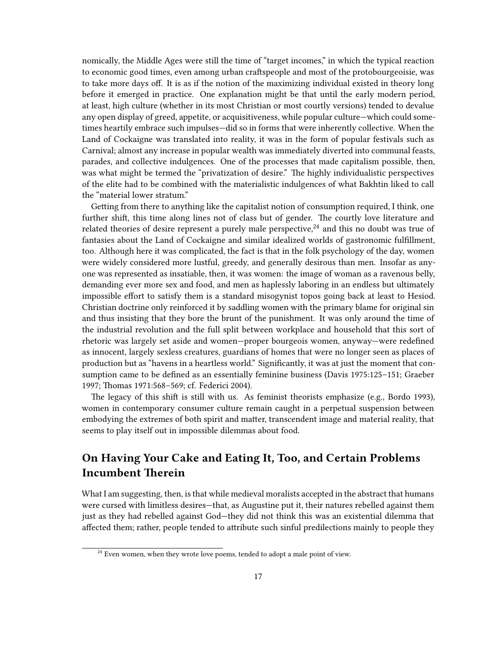nomically, the Middle Ages were still the time of "target incomes," in which the typical reaction to economic good times, even among urban craftspeople and most of the protobourgeoisie, was to take more days off. It is as if the notion of the maximizing individual existed in theory long before it emerged in practice. One explanation might be that until the early modern period, at least, high culture (whether in its most Christian or most courtly versions) tended to devalue any open display of greed, appetite, or acquisitiveness, while popular culture—which could sometimes heartily embrace such impulses—did so in forms that were inherently collective. When the Land of Cockaigne was translated into reality, it was in the form of popular festivals such as Carnival; almost any increase in popular wealth was immediately diverted into communal feasts, parades, and collective indulgences. One of the processes that made capitalism possible, then, was what might be termed the "privatization of desire." The highly individualistic perspectives of the elite had to be combined with the materialistic indulgences of what Bakhtin liked to call the "material lower stratum."

Getting from there to anything like the capitalist notion of consumption required, I think, one further shift, this time along lines not of class but of gender. The courtly love literature and related theories of desire represent a purely male perspective, $^{24}$  and this no doubt was true of fantasies about the Land of Cockaigne and similar idealized worlds of gastronomic fulfillment, too. Although here it was complicated, the fact is that in the folk psychology of the day, women were widely considered more lustful, greedy, and generally desirous than men. Insofar as anyone was represented as insatiable, then, it was women: the image of woman as a ravenous belly, demanding ever more sex and food, and men as haplessly laboring in an endless but ultimately impossible effort to satisfy them is a standard misogynist topos going back at least to Hesiod. Christian doctrine only reinforced it by saddling women with the primary blame for original sin and thus insisting that they bore the brunt of the punishment. It was only around the time of the industrial revolution and the full split between workplace and household that this sort of rhetoric was largely set aside and women—proper bourgeois women, anyway—were redefined as innocent, largely sexless creatures, guardians of homes that were no longer seen as places of production but as "havens in a heartless world." Significantly, it was at just the moment that consumption came to be defined as an essentially feminine business (Davis 1975:125–151; Graeber 1997; Thomas 1971:568–569; cf. Federici 2004).

The legacy of this shift is still with us. As feminist theorists emphasize (e.g., Bordo 1993), women in contemporary consumer culture remain caught in a perpetual suspension between embodying the extremes of both spirit and matter, transcendent image and material reality, that seems to play itself out in impossible dilemmas about food.

# <span id="page-16-0"></span>**On Having Your Cake and Eating It, Too, and Certain Problems Incumbent Therein**

What I am suggesting, then, is that while medieval moralists accepted in the abstract that humans were cursed with limitless desires—that, as Augustine put it, their natures rebelled against them just as they had rebelled against God—they did not think this was an existential dilemma that affected them; rather, people tended to attribute such sinful predilections mainly to people they

<sup>&</sup>lt;sup>24</sup> Even women, when they wrote love poems, tended to adopt a male point of view.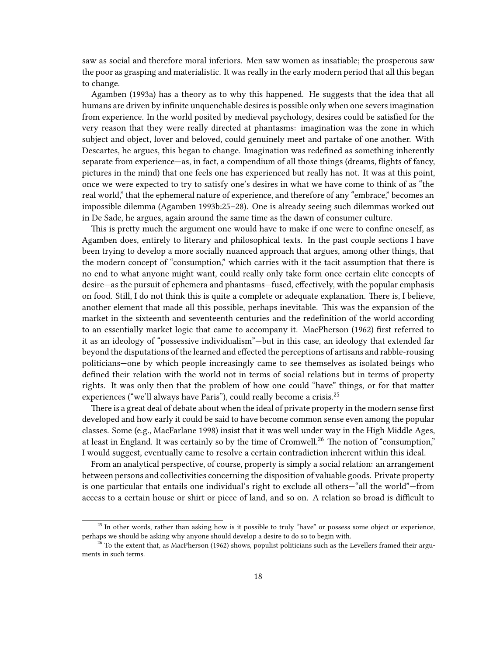saw as social and therefore moral inferiors. Men saw women as insatiable; the prosperous saw the poor as grasping and materialistic. It was really in the early modern period that all this began to change.

Agamben (1993a) has a theory as to why this happened. He suggests that the idea that all humans are driven by infinite unquenchable desires is possible only when one severs imagination from experience. In the world posited by medieval psychology, desires could be satisfied for the very reason that they were really directed at phantasms: imagination was the zone in which subject and object, lover and beloved, could genuinely meet and partake of one another. With Descartes, he argues, this began to change. Imagination was redefined as something inherently separate from experience—as, in fact, a compendium of all those things (dreams, flights of fancy, pictures in the mind) that one feels one has experienced but really has not. It was at this point, once we were expected to try to satisfy one's desires in what we have come to think of as "the real world," that the ephemeral nature of experience, and therefore of any "embrace," becomes an impossible dilemma (Agamben 1993b:25–28). One is already seeing such dilemmas worked out in De Sade, he argues, again around the same time as the dawn of consumer culture.

This is pretty much the argument one would have to make if one were to confine oneself, as Agamben does, entirely to literary and philosophical texts. In the past couple sections I have been trying to develop a more socially nuanced approach that argues, among other things, that the modern concept of "consumption," which carries with it the tacit assumption that there is no end to what anyone might want, could really only take form once certain elite concepts of desire—as the pursuit of ephemera and phantasms—fused, effectively, with the popular emphasis on food. Still, I do not think this is quite a complete or adequate explanation. There is, I believe, another element that made all this possible, perhaps inevitable. This was the expansion of the market in the sixteenth and seventeenth centuries and the redefinition of the world according to an essentially market logic that came to accompany it. MacPherson (1962) first referred to it as an ideology of "possessive individualism"—but in this case, an ideology that extended far beyond the disputations of the learned and effected the perceptions of artisans and rabble-rousing politicians—one by which people increasingly came to see themselves as isolated beings who defined their relation with the world not in terms of social relations but in terms of property rights. It was only then that the problem of how one could "have" things, or for that matter experiences ("we'll always have Paris"), could really become a crisis.<sup>25</sup>

There is a great deal of debate about when the ideal of private property in the modern sense first developed and how early it could be said to have become common sense even among the popular classes. Some (e.g., MacFarlane 1998) insist that it was well under way in the High Middle Ages, at least in England. It was certainly so by the time of Cromwell.<sup>26</sup> The notion of "consumption," I would suggest, eventually came to resolve a certain contradiction inherent within this ideal.

From an analytical perspective, of course, property is simply a social relation: an arrangement between persons and collectivities concerning the disposition of valuable goods. Private property is one particular that entails one individual's right to exclude all others—"all the world"—from access to a certain house or shirt or piece of land, and so on. A relation so broad is difficult to

<sup>&</sup>lt;sup>25</sup> In other words, rather than asking how is it possible to truly "have" or possess some object or experience, perhaps we should be asking why anyone should develop a desire to do so to begin with.

 $26$  To the extent that, as MacPherson (1962) shows, populist politicians such as the Levellers framed their arguments in such terms.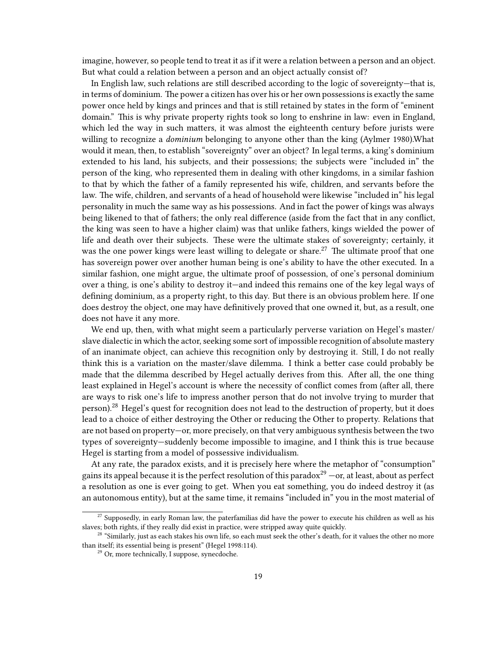imagine, however, so people tend to treat it as if it were a relation between a person and an object. But what could a relation between a person and an object actually consist of?

In English law, such relations are still described according to the logic of sovereignty—that is, in terms of dominium. The power a citizen has over his or her own possessions is exactly the same power once held by kings and princes and that is still retained by states in the form of "eminent domain." This is why private property rights took so long to enshrine in law: even in England, which led the way in such matters, it was almost the eighteenth century before jurists were willing to recognize a *dominium* belonging to anyone other than the king (Aylmer 1980).What would it mean, then, to establish "sovereignty" over an object? In legal terms, a king's dominium extended to his land, his subjects, and their possessions; the subjects were "included in" the person of the king, who represented them in dealing with other kingdoms, in a similar fashion to that by which the father of a family represented his wife, children, and servants before the law. The wife, children, and servants of a head of household were likewise "included in" his legal personality in much the same way as his possessions. And in fact the power of kings was always being likened to that of fathers; the only real difference (aside from the fact that in any conflict, the king was seen to have a higher claim) was that unlike fathers, kings wielded the power of life and death over their subjects. These were the ultimate stakes of sovereignty; certainly, it was the one power kings were least willing to delegate or share.<sup>27</sup> The ultimate proof that one has sovereign power over another human being is one's ability to have the other executed. In a similar fashion, one might argue, the ultimate proof of possession, of one's personal dominium over a thing, is one's ability to destroy it—and indeed this remains one of the key legal ways of defining dominium, as a property right, to this day. But there is an obvious problem here. If one does destroy the object, one may have definitively proved that one owned it, but, as a result, one does not have it any more.

We end up, then, with what might seem a particularly perverse variation on Hegel's master/ slave dialectic in which the actor, seeking some sort of impossible recognition of absolute mastery of an inanimate object, can achieve this recognition only by destroying it. Still, I do not really think this is a variation on the master/slave dilemma. I think a better case could probably be made that the dilemma described by Hegel actually derives from this. After all, the one thing least explained in Hegel's account is where the necessity of conflict comes from (after all, there are ways to risk one's life to impress another person that do not involve trying to murder that person).<sup>28</sup> Hegel's quest for recognition does not lead to the destruction of property, but it does lead to a choice of either destroying the Other or reducing the Other to property. Relations that are not based on property—or, more precisely, on that very ambiguous synthesis between the two types of sovereignty—suddenly become impossible to imagine, and I think this is true because Hegel is starting from a model of possessive individualism.

At any rate, the paradox exists, and it is precisely here where the metaphor of "consumption" gains its appeal because it is the perfect resolution of this paradox<sup>29</sup> -or, at least, about as perfect a resolution as one is ever going to get. When you eat something, you do indeed destroy it (as an autonomous entity), but at the same time, it remains "included in" you in the most material of

<sup>&</sup>lt;sup>27</sup> Supposedly, in early Roman law, the paterfamilias did have the power to execute his children as well as his slaves; both rights, if they really did exist in practice, were stripped away quite quickly.

<sup>&</sup>lt;sup>28</sup> "Similarly, just as each stakes his own life, so each must seek the other's death, for it values the other no more than itself; its essential being is present" (Hegel 1998:114).

<sup>&</sup>lt;sup>29</sup> Or, more technically, I suppose, synecdoche.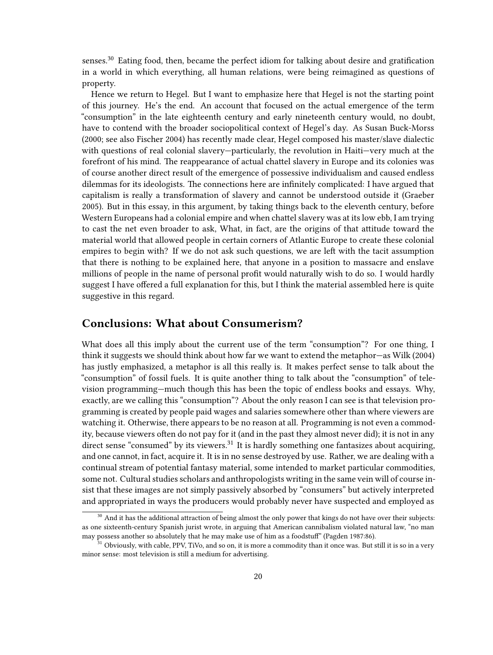senses.<sup>30</sup> Eating food, then, became the perfect idiom for talking about desire and gratification in a world in which everything, all human relations, were being reimagined as questions of property.

Hence we return to Hegel. But I want to emphasize here that Hegel is not the starting point of this journey. He's the end. An account that focused on the actual emergence of the term "consumption" in the late eighteenth century and early nineteenth century would, no doubt, have to contend with the broader sociopolitical context of Hegel's day. As Susan Buck-Morss (2000; see also Fischer 2004) has recently made clear, Hegel composed his master/slave dialectic with questions of real colonial slavery—particularly, the revolution in Haiti—very much at the forefront of his mind. The reappearance of actual chattel slavery in Europe and its colonies was of course another direct result of the emergence of possessive individualism and caused endless dilemmas for its ideologists. The connections here are infinitely complicated: I have argued that capitalism is really a transformation of slavery and cannot be understood outside it (Graeber 2005). But in this essay, in this argument, by taking things back to the eleventh century, before Western Europeans had a colonial empire and when chattel slavery was at its low ebb, I am trying to cast the net even broader to ask, What, in fact, are the origins of that attitude toward the material world that allowed people in certain corners of Atlantic Europe to create these colonial empires to begin with? If we do not ask such questions, we are left with the tacit assumption that there is nothing to be explained here, that anyone in a position to massacre and enslave millions of people in the name of personal profit would naturally wish to do so. I would hardly suggest I have offered a full explanation for this, but I think the material assembled here is quite suggestive in this regard.

### <span id="page-19-0"></span>**Conclusions: What about Consumerism?**

What does all this imply about the current use of the term "consumption"? For one thing, I think it suggests we should think about how far we want to extend the metaphor—as Wilk (2004) has justly emphasized, a metaphor is all this really is. It makes perfect sense to talk about the "consumption" of fossil fuels. It is quite another thing to talk about the "consumption" of television programming—much though this has been the topic of endless books and essays. Why, exactly, are we calling this "consumption"? About the only reason I can see is that television programming is created by people paid wages and salaries somewhere other than where viewers are watching it. Otherwise, there appears to be no reason at all. Programming is not even a commodity, because viewers often do not pay for it (and in the past they almost never did); it is not in any direct sense "consumed" by its viewers. $31$  It is hardly something one fantasizes about acquiring, and one cannot, in fact, acquire it. It is in no sense destroyed by use. Rather, we are dealing with a continual stream of potential fantasy material, some intended to market particular commodities, some not. Cultural studies scholars and anthropologists writing in the same vein will of course insist that these images are not simply passively absorbed by "consumers" but actively interpreted and appropriated in ways the producers would probably never have suspected and employed as

 $30$  And it has the additional attraction of being almost the only power that kings do not have over their subjects: as one sixteenth-century Spanish jurist wrote, in arguing that American cannibalism violated natural law, "no man may possess another so absolutely that he may make use of him as a foodstuf" (Pagden 1987:86).

 $^{\bar{3}1}$  Obviously, with cable, PPV, TiVo, and so on, it is more a commodity than it once was. But still it is so in a very minor sense: most television is still a medium for advertising.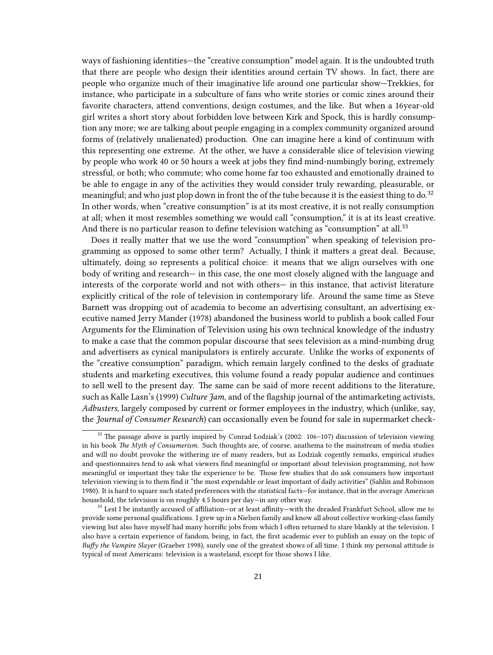ways of fashioning identities—the "creative consumption" model again. It is the undoubted truth that there are people who design their identities around certain TV shows. In fact, there are people who organize much of their imaginative life around one particular show—Trekkies, for instance, who participate in a subculture of fans who write stories or comic zines around their favorite characters, attend conventions, design costumes, and the like. But when a 16year-old girl writes a short story about forbidden love between Kirk and Spock, this is hardly consumption any more; we are talking about people engaging in a complex community organized around forms of (relatively unalienated) production. One can imagine here a kind of continuum with this representing one extreme. At the other, we have a considerable slice of television viewing by people who work 40 or 50 hours a week at jobs they find mind-numbingly boring, extremely stressful, or both; who commute; who come home far too exhausted and emotionally drained to be able to engage in any of the activities they would consider truly rewarding, pleasurable, or meaningful; and who just plop down in front the of the tube because it is the easiest thing to do.<sup>32</sup> In other words, when "creative consumption" is at its most creative, it is not really consumption at all; when it most resembles something we would call "consumption," it is at its least creative. And there is no particular reason to define television watching as "consumption" at all.<sup>33</sup>

Does it really matter that we use the word "consumption" when speaking of television programming as opposed to some other term? Actually, I think it matters a great deal. Because, ultimately, doing so represents a political choice: it means that we align ourselves with one body of writing and research— in this case, the one most closely aligned with the language and interests of the corporate world and not with others— in this instance, that activist literature explicitly critical of the role of television in contemporary life. Around the same time as Steve Barnett was dropping out of academia to become an advertising consultant, an advertising executive named Jerry Mander (1978) abandoned the business world to publish a book called Four Arguments for the Elimination of Television using his own technical knowledge of the industry to make a case that the common popular discourse that sees television as a mind-numbing drug and advertisers as cynical manipulators is entirely accurate. Unlike the works of exponents of the "creative consumption" paradigm, which remain largely confined to the desks of graduate students and marketing executives, this volume found a ready popular audience and continues to sell well to the present day. The same can be said of more recent additions to the literature, such as Kalle Lasn's (1999) *Culture Jam*, and of the flagship journal of the antimarketing activists, *Adbusters*, largely composed by current or former employees in the industry, which (unlike, say, the *Journal of Consumer Research*) can occasionally even be found for sale in supermarket check-

 $32$  The passage above is partly inspired by Conrad Lodziak's (2002: 106-107) discussion of television viewing in his book *The Myth of Consumerism*. Such thoughts are, of course, anathema to the mainstream of media studies and will no doubt provoke the withering ire of many readers, but as Lodziak cogently remarks, empirical studies and questionnaires tend to ask what viewers find meaningful or important about television programming, not how meaningful or important they take the experience to be. Those few studies that do ask consumers how important television viewing is to them find it "the most expendable or least important of daily activities" (Sahlin and Robinson 1980). It is hard to square such stated preferences with the statistical facts—for instance, that in the average American household, the television is on roughly 4.5 hours per day—in any other way.

 $33$  Lest I be instantly accused of affiliation—or at least affinity—with the dreaded Frankfurt School, allow me to provide some personal qualifications. I grew up in a Nielsen family and know all about collective working-class family viewing but also have myself had many horrific jobs from which I often returned to stare blankly at the television. I also have a certain experience of fandom, being, in fact, the first academic ever to publish an essay on the topic of *Buffy the Vampire Slayer* (Graeber 1998), surely one of the greatest shows of all time. I think my personal attitude is typical of most Americans: television is a wasteland, except for those shows I like.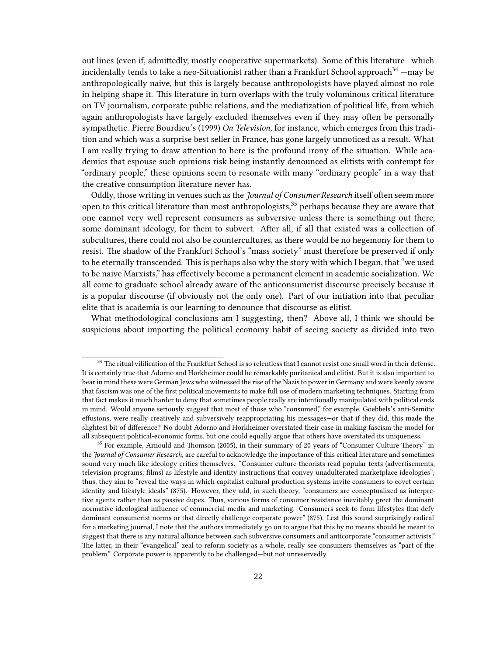out lines (even if, admittedly, mostly cooperative supermarkets). Some of this literature—which incidentally tends to take a neo-Situationist rather than a Frankfurt School approach $34$  –may be anthropologically naive, but this is largely because anthropologists have played almost no role in helping shape it. This literature in turn overlaps with the truly voluminous critical literature on TV journalism, corporate public relations, and the mediatization of political life, from which again anthropologists have largely excluded themselves even if they may often be personally sympathetic. Pierre Bourdieu's (1999) *On Television*, for instance, which emerges from this tradition and which was a surprise best seller in France, has gone largely unnoticed as a result. What I am really trying to draw attention to here is the profound irony of the situation. While academics that espouse such opinions risk being instantly denounced as elitists with contempt for "ordinary people," these opinions seem to resonate with many "ordinary people" in a way that the creative consumption literature never has.

Oddly, those writing in venues such as the *Journal of Consumer Research* itself often seem more open to this critical literature than most anthropologists,<sup>35</sup> perhaps because they are aware that one cannot very well represent consumers as subversive unless there is something out there, some dominant ideology, for them to subvert. After all, if all that existed was a collection of subcultures, there could not also be countercultures, as there would be no hegemony for them to resist. The shadow of the Frankfurt School's "mass society" must therefore be preserved if only to be eternally transcended. This is perhaps also why the story with which I began, that "we used to be naive Marxists," has effectively become a permanent element in academic socialization. We all come to graduate school already aware of the anticonsumerist discourse precisely because it is a popular discourse (if obviously not the only one). Part of our initiation into that peculiar elite that is academia is our learning to denounce that discourse as elitist.

What methodological conclusions am I suggesting, then? Above all, I think we should be suspicious about importing the political economy habit of seeing society as divided into two

 $^{34}$  The ritual vilification of the Frankfurt School is so relentless that I cannot resist one small word in their defense. It is certainly true that Adorno and Horkheimer could be remarkably puritanical and elitist. But it is also important to bear in mind these were German Jews who witnessed the rise of the Nazis to power in Germany and were keenly aware that fascism was one of the first political movements to make full use of modern marketing techniques. Starting from that fact makes it much harder to deny that sometimes people really are intentionally manipulated with political ends in mind. Would anyone seriously suggest that most of those who "consumed," for example, Goebbels's anti-Semitic effusions, were really creatively and subversively reappropriating his messages—or that if they did, this made the slightest bit of difference? No doubt Adorno and Horkheimer overstated their case in making fascism the model for all subsequent political-economic forms, but one could equally argue that others have overstated its uniqueness.

<sup>&</sup>lt;sup>35</sup> For example, Arnould and Thomson (2005), in their summary of 20 years of "Consumer Culture Theory" in the *Journal of Consumer Research*, are careful to acknowledge the importance of this critical literature and sometimes sound very much like ideology critics themselves. "Consumer culture theorists read popular texts (advertisements, television programs, films) as lifestyle and identity instructions that convey unadulterated marketplace ideologies"; thus, they aim to "reveal the ways in which capitalist cultural production systems invite consumers to covet certain identity and lifestyle ideals" (875). However, they add, in such theory, "consumers are conceptualized as interpretive agents rather than as passive dupes. Thus, various forms of consumer resistance inevitably greet the dominant normative ideological influence of commercial media and marketing. Consumers seek to form lifestyles that defy dominant consumerist norms or that directly challenge corporate power" (875). Lest this sound surprisingly radical for a marketing journal, I note that the authors immediately go on to argue that this by no means should be meant to suggest that there is any natural alliance between such subversive consumers and anticorporate "consumer activists." The latter, in their "evangelical" zeal to reform society as a whole, really see consumers themselves as "part of the problem." Corporate power is apparently to be challenged—but not unreservedly.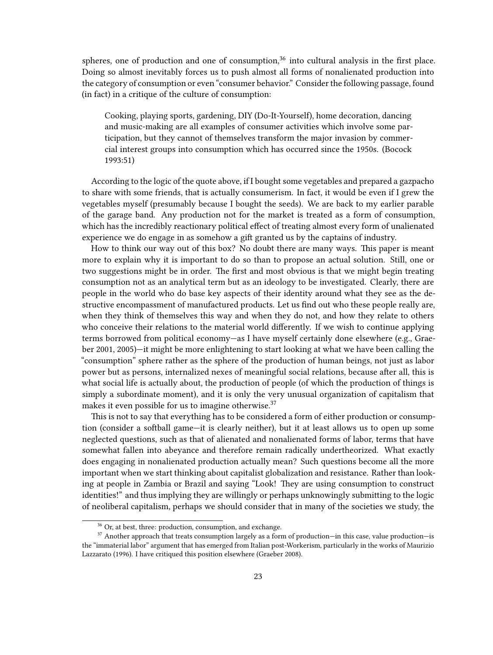spheres, one of production and one of consumption, $36$  into cultural analysis in the first place. Doing so almost inevitably forces us to push almost all forms of nonalienated production into the category of consumption or even "consumer behavior." Consider the following passage, found (in fact) in a critique of the culture of consumption:

Cooking, playing sports, gardening, DIY (Do-It-Yourself), home decoration, dancing and music-making are all examples of consumer activities which involve some participation, but they cannot of themselves transform the major invasion by commercial interest groups into consumption which has occurred since the 1950s. (Bocock 1993:51)

According to the logic of the quote above, if I bought some vegetables and prepared a gazpacho to share with some friends, that is actually consumerism. In fact, it would be even if I grew the vegetables myself (presumably because I bought the seeds). We are back to my earlier parable of the garage band. Any production not for the market is treated as a form of consumption, which has the incredibly reactionary political effect of treating almost every form of unalienated experience we do engage in as somehow a gift granted us by the captains of industry.

How to think our way out of this box? No doubt there are many ways. This paper is meant more to explain why it is important to do so than to propose an actual solution. Still, one or two suggestions might be in order. The first and most obvious is that we might begin treating consumption not as an analytical term but as an ideology to be investigated. Clearly, there are people in the world who do base key aspects of their identity around what they see as the destructive encompassment of manufactured products. Let us find out who these people really are, when they think of themselves this way and when they do not, and how they relate to others who conceive their relations to the material world differently. If we wish to continue applying terms borrowed from political economy—as I have myself certainly done elsewhere (e.g., Graeber 2001, 2005)—it might be more enlightening to start looking at what we have been calling the "consumption" sphere rather as the sphere of the production of human beings, not just as labor power but as persons, internalized nexes of meaningful social relations, because after all, this is what social life is actually about, the production of people (of which the production of things is simply a subordinate moment), and it is only the very unusual organization of capitalism that makes it even possible for us to imagine otherwise. $37$ 

This is not to say that everything has to be considered a form of either production or consumption (consider a softball game—it is clearly neither), but it at least allows us to open up some neglected questions, such as that of alienated and nonalienated forms of labor, terms that have somewhat fallen into abeyance and therefore remain radically undertheorized. What exactly does engaging in nonalienated production actually mean? Such questions become all the more important when we start thinking about capitalist globalization and resistance. Rather than looking at people in Zambia or Brazil and saying "Look! They are using consumption to construct identities!" and thus implying they are willingly or perhaps unknowingly submitting to the logic of neoliberal capitalism, perhaps we should consider that in many of the societies we study, the

<sup>&</sup>lt;sup>36</sup> Or, at best, three: production, consumption, and exchange.

 $37$  Another approach that treats consumption largely as a form of production—in this case, value production—is the "immaterial labor" argument that has emerged from Italian post-Workerism, particularly in the works of Maurizio Lazzarato (1996). I have critiqued this position elsewhere (Graeber 2008).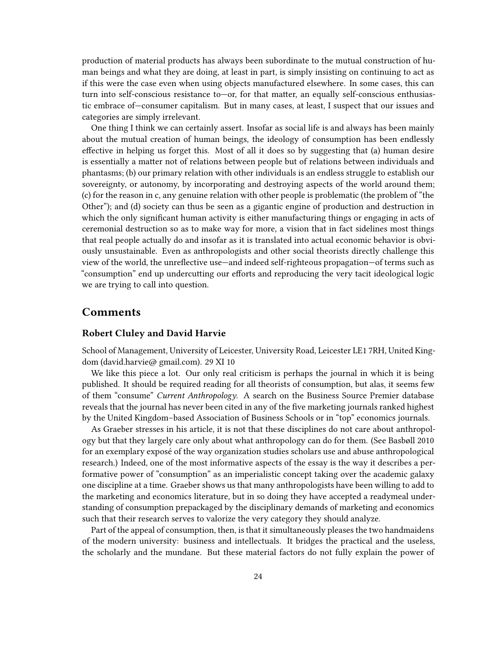production of material products has always been subordinate to the mutual construction of human beings and what they are doing, at least in part, is simply insisting on continuing to act as if this were the case even when using objects manufactured elsewhere. In some cases, this can turn into self-conscious resistance to—or, for that matter, an equally self-conscious enthusiastic embrace of—consumer capitalism. But in many cases, at least, I suspect that our issues and categories are simply irrelevant.

One thing I think we can certainly assert. Insofar as social life is and always has been mainly about the mutual creation of human beings, the ideology of consumption has been endlessly effective in helping us forget this. Most of all it does so by suggesting that (a) human desire is essentially a matter not of relations between people but of relations between individuals and phantasms; (b) our primary relation with other individuals is an endless struggle to establish our sovereignty, or autonomy, by incorporating and destroying aspects of the world around them; (c) for the reason in c, any genuine relation with other people is problematic (the problem of "the Other"); and (d) society can thus be seen as a gigantic engine of production and destruction in which the only significant human activity is either manufacturing things or engaging in acts of ceremonial destruction so as to make way for more, a vision that in fact sidelines most things that real people actually do and insofar as it is translated into actual economic behavior is obviously unsustainable. Even as anthropologists and other social theorists directly challenge this view of the world, the unreflective use—and indeed self-righteous propagation—of terms such as "consumption" end up undercutting our efforts and reproducing the very tacit ideological logic we are trying to call into question.

### <span id="page-23-0"></span>**Comments**

#### <span id="page-23-1"></span>**Robert Cluley and David Harvie**

School of Management, University of Leicester, University Road, Leicester LE1 7RH, United Kingdom (david.harvie@ gmail.com). 29 XI 10

We like this piece a lot. Our only real criticism is perhaps the journal in which it is being published. It should be required reading for all theorists of consumption, but alas, it seems few of them "consume" *Current Anthropology*. A search on the Business Source Premier database reveals that the journal has never been cited in any of the five marketing journals ranked highest by the United Kingdom–based Association of Business Schools or in "top" economics journals.

As Graeber stresses in his article, it is not that these disciplines do not care about anthropology but that they largely care only about what anthropology can do for them. (See Basbøll 2010 for an exemplary exposé of the way organization studies scholars use and abuse anthropological research.) Indeed, one of the most informative aspects of the essay is the way it describes a performative power of "consumption" as an imperialistic concept taking over the academic galaxy one discipline at a time. Graeber shows us that many anthropologists have been willing to add to the marketing and economics literature, but in so doing they have accepted a readymeal understanding of consumption prepackaged by the disciplinary demands of marketing and economics such that their research serves to valorize the very category they should analyze.

Part of the appeal of consumption, then, is that it simultaneously pleases the two handmaidens of the modern university: business and intellectuals. It bridges the practical and the useless, the scholarly and the mundane. But these material factors do not fully explain the power of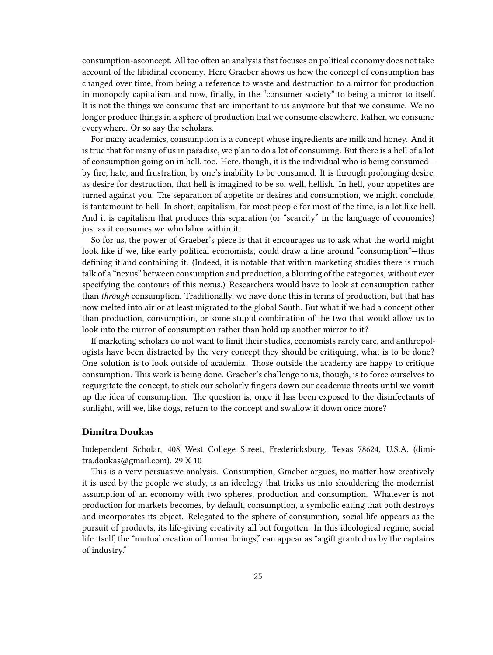consumption-asconcept. All too often an analysis that focuses on political economy does not take account of the libidinal economy. Here Graeber shows us how the concept of consumption has changed over time, from being a reference to waste and destruction to a mirror for production in monopoly capitalism and now, finally, in the "consumer society" to being a mirror to itself. It is not the things we consume that are important to us anymore but that we consume. We no longer produce things in a sphere of production that we consume elsewhere. Rather, we consume everywhere. Or so say the scholars.

For many academics, consumption is a concept whose ingredients are milk and honey. And it is true that for many of us in paradise, we plan to do a lot of consuming. But there is a hell of a lot of consumption going on in hell, too. Here, though, it is the individual who is being consumed by fire, hate, and frustration, by one's inability to be consumed. It is through prolonging desire, as desire for destruction, that hell is imagined to be so, well, hellish. In hell, your appetites are turned against you. The separation of appetite or desires and consumption, we might conclude, is tantamount to hell. In short, capitalism, for most people for most of the time, is a lot like hell. And it is capitalism that produces this separation (or "scarcity" in the language of economics) just as it consumes we who labor within it.

So for us, the power of Graeber's piece is that it encourages us to ask what the world might look like if we, like early political economists, could draw a line around "consumption"—thus defining it and containing it. (Indeed, it is notable that within marketing studies there is much talk of a "nexus" between consumption and production, a blurring of the categories, without ever specifying the contours of this nexus.) Researchers would have to look at consumption rather than *through* consumption. Traditionally, we have done this in terms of production, but that has now melted into air or at least migrated to the global South. But what if we had a concept other than production, consumption, or some stupid combination of the two that would allow us to look into the mirror of consumption rather than hold up another mirror to it?

If marketing scholars do not want to limit their studies, economists rarely care, and anthropologists have been distracted by the very concept they should be critiquing, what is to be done? One solution is to look outside of academia. Those outside the academy are happy to critique consumption. This work is being done. Graeber's challenge to us, though, is to force ourselves to regurgitate the concept, to stick our scholarly fingers down our academic throats until we vomit up the idea of consumption. The question is, once it has been exposed to the disinfectants of sunlight, will we, like dogs, return to the concept and swallow it down once more?

#### <span id="page-24-0"></span>**Dimitra Doukas**

Independent Scholar, 408 West College Street, Fredericksburg, Texas 78624, U.S.A. (dimitra.doukas@gmail.com). 29 X 10

This is a very persuasive analysis. Consumption, Graeber argues, no matter how creatively it is used by the people we study, is an ideology that tricks us into shouldering the modernist assumption of an economy with two spheres, production and consumption. Whatever is not production for markets becomes, by default, consumption, a symbolic eating that both destroys and incorporates its object. Relegated to the sphere of consumption, social life appears as the pursuit of products, its life-giving creativity all but forgotten. In this ideological regime, social life itself, the "mutual creation of human beings," can appear as "a gift granted us by the captains of industry."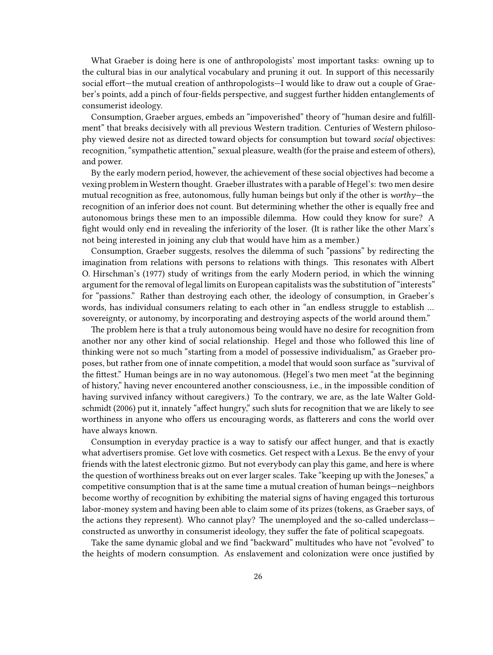What Graeber is doing here is one of anthropologists' most important tasks: owning up to the cultural bias in our analytical vocabulary and pruning it out. In support of this necessarily social effort—the mutual creation of anthropologists—I would like to draw out a couple of Graeber's points, add a pinch of four-fields perspective, and suggest further hidden entanglements of consumerist ideology.

Consumption, Graeber argues, embeds an "impoverished" theory of "human desire and fulfillment" that breaks decisively with all previous Western tradition. Centuries of Western philosophy viewed desire not as directed toward objects for consumption but toward *social* objectives: recognition, "sympathetic attention," sexual pleasure, wealth (for the praise and esteem of others), and power.

By the early modern period, however, the achievement of these social objectives had become a vexing problem in Western thought. Graeber illustrates with a parable of Hegel's: two men desire mutual recognition as free, autonomous, fully human beings but only if the other is *worthy*—the recognition of an inferior does not count. But determining whether the other is equally free and autonomous brings these men to an impossible dilemma. How could they know for sure? A fight would only end in revealing the inferiority of the loser. (It is rather like the other Marx's not being interested in joining any club that would have him as a member.)

Consumption, Graeber suggests, resolves the dilemma of such "passions" by redirecting the imagination from relations with persons to relations with things. This resonates with Albert O. Hirschman's (1977) study of writings from the early Modern period, in which the winning argument for the removal of legal limits on European capitalists was the substitution of "interests" for "passions." Rather than destroying each other, the ideology of consumption, in Graeber's words, has individual consumers relating to each other in "an endless struggle to establish … sovereignty, or autonomy, by incorporating and destroying aspects of the world around them."

The problem here is that a truly autonomous being would have no desire for recognition from another nor any other kind of social relationship. Hegel and those who followed this line of thinking were not so much "starting from a model of possessive individualism," as Graeber proposes, but rather from one of innate competition, a model that would soon surface as "survival of the fittest." Human beings are in no way autonomous. (Hegel's two men meet "at the beginning of history," having never encountered another consciousness, i.e., in the impossible condition of having survived infancy without caregivers.) To the contrary, we are, as the late Walter Goldschmidt (2006) put it, innately "affect hungry," such sluts for recognition that we are likely to see worthiness in anyone who offers us encouraging words, as flatterers and cons the world over have always known.

Consumption in everyday practice is a way to satisfy our affect hunger, and that is exactly what advertisers promise. Get love with cosmetics. Get respect with a Lexus. Be the envy of your friends with the latest electronic gizmo. But not everybody can play this game, and here is where the question of worthiness breaks out on ever larger scales. Take "keeping up with the Joneses," a competitive consumption that is at the same time a mutual creation of human beings—neighbors become worthy of recognition by exhibiting the material signs of having engaged this torturous labor-money system and having been able to claim some of its prizes (tokens, as Graeber says, of the actions they represent). Who cannot play? The unemployed and the so-called underclass constructed as unworthy in consumerist ideology, they suffer the fate of political scapegoats.

Take the same dynamic global and we find "backward" multitudes who have not "evolved" to the heights of modern consumption. As enslavement and colonization were once justified by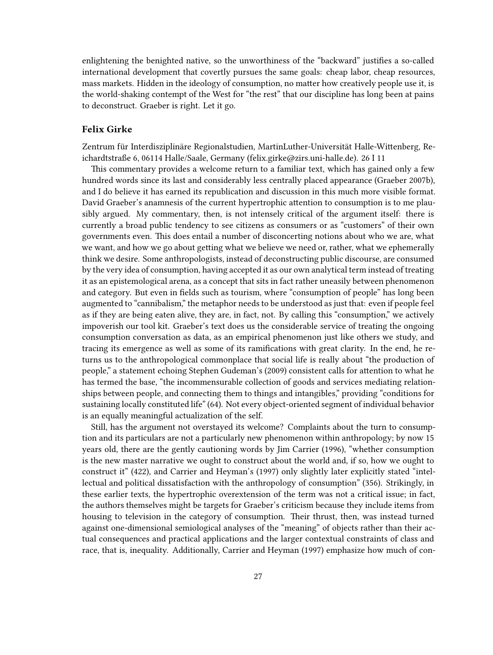enlightening the benighted native, so the unworthiness of the "backward" justifies a so-called international development that covertly pursues the same goals: cheap labor, cheap resources, mass markets. Hidden in the ideology of consumption, no matter how creatively people use it, is the world-shaking contempt of the West for "the rest" that our discipline has long been at pains to deconstruct. Graeber is right. Let it go.

#### <span id="page-26-0"></span>**Felix Girke**

Zentrum für Interdisziplinäre Regionalstudien, MartinLuther-Universität Halle-Wittenberg, Reichardtstraße 6, 06114 Halle/Saale, Germany (felix.girke@zirs.uni-halle.de). 26 I 11

This commentary provides a welcome return to a familiar text, which has gained only a few hundred words since its last and considerably less centrally placed appearance (Graeber 2007b), and I do believe it has earned its republication and discussion in this much more visible format. David Graeber's anamnesis of the current hypertrophic attention to consumption is to me plausibly argued. My commentary, then, is not intensely critical of the argument itself: there is currently a broad public tendency to see citizens as consumers or as "customers" of their own governments even. This does entail a number of disconcerting notions about who we are, what we want, and how we go about getting what we believe we need or, rather, what we ephemerally think we desire. Some anthropologists, instead of deconstructing public discourse, are consumed by the very idea of consumption, having accepted it as our own analytical term instead of treating it as an epistemological arena, as a concept that sits in fact rather uneasily between phenomenon and category. But even in fields such as tourism, where "consumption of people" has long been augmented to "cannibalism," the metaphor needs to be understood as just that: even if people feel as if they are being eaten alive, they are, in fact, not. By calling this "consumption," we actively impoverish our tool kit. Graeber's text does us the considerable service of treating the ongoing consumption conversation as data, as an empirical phenomenon just like others we study, and tracing its emergence as well as some of its ramifications with great clarity. In the end, he returns us to the anthropological commonplace that social life is really about "the production of people," a statement echoing Stephen Gudeman's (2009) consistent calls for attention to what he has termed the base, "the incommensurable collection of goods and services mediating relationships between people, and connecting them to things and intangibles," providing "conditions for sustaining locally constituted life" (64). Not every object-oriented segment of individual behavior is an equally meaningful actualization of the self.

Still, has the argument not overstayed its welcome? Complaints about the turn to consumption and its particulars are not a particularly new phenomenon within anthropology; by now 15 years old, there are the gently cautioning words by Jim Carrier (1996), "whether consumption is the new master narrative we ought to construct about the world and, if so, how we ought to construct it" (422), and Carrier and Heyman's (1997) only slightly later explicitly stated "intellectual and political dissatisfaction with the anthropology of consumption" (356). Strikingly, in these earlier texts, the hypertrophic overextension of the term was not a critical issue; in fact, the authors themselves might be targets for Graeber's criticism because they include items from housing to television in the category of consumption. Their thrust, then, was instead turned against one-dimensional semiological analyses of the "meaning" of objects rather than their actual consequences and practical applications and the larger contextual constraints of class and race, that is, inequality. Additionally, Carrier and Heyman (1997) emphasize how much of con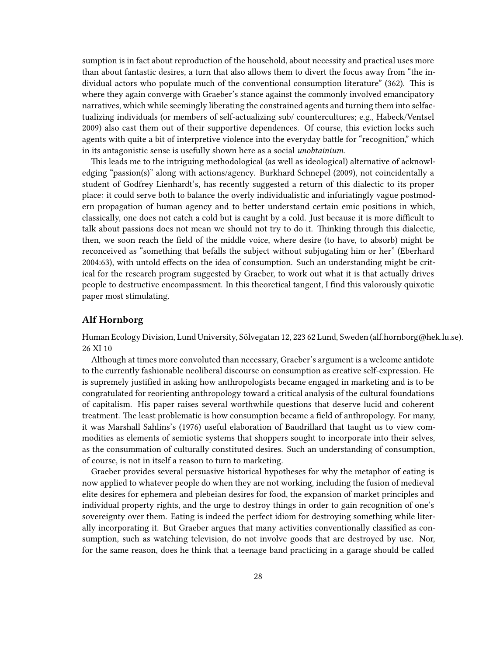sumption is in fact about reproduction of the household, about necessity and practical uses more than about fantastic desires, a turn that also allows them to divert the focus away from "the individual actors who populate much of the conventional consumption literature" (362). This is where they again converge with Graeber's stance against the commonly involved emancipatory narratives, which while seemingly liberating the constrained agents and turning them into selfactualizing individuals (or members of self-actualizing sub/ countercultures; e.g., Habeck/Ventsel 2009) also cast them out of their supportive dependences. Of course, this eviction locks such agents with quite a bit of interpretive violence into the everyday battle for "recognition," which in its antagonistic sense is usefully shown here as a social *unobtainium*.

This leads me to the intriguing methodological (as well as ideological) alternative of acknowledging "passion(s)" along with actions/agency. Burkhard Schnepel (2009), not coincidentally a student of Godfrey Lienhardt's, has recently suggested a return of this dialectic to its proper place: it could serve both to balance the overly individualistic and infuriatingly vague postmodern propagation of human agency and to better understand certain emic positions in which, classically, one does not catch a cold but is caught by a cold. Just because it is more difficult to talk about passions does not mean we should not try to do it. Thinking through this dialectic, then, we soon reach the field of the middle voice, where desire (to have, to absorb) might be reconceived as "something that befalls the subject without subjugating him or her" (Eberhard 2004:63), with untold effects on the idea of consumption. Such an understanding might be critical for the research program suggested by Graeber, to work out what it is that actually drives people to destructive encompassment. In this theoretical tangent, I find this valorously quixotic paper most stimulating.

#### <span id="page-27-0"></span>**Alf Hornborg**

Human Ecology Division, Lund University, Sölvegatan 12, 223 62 Lund, Sweden (alf.hornborg@hek.lu.se). 26 XI 10

Although at times more convoluted than necessary, Graeber's argument is a welcome antidote to the currently fashionable neoliberal discourse on consumption as creative self-expression. He is supremely justified in asking how anthropologists became engaged in marketing and is to be congratulated for reorienting anthropology toward a critical analysis of the cultural foundations of capitalism. His paper raises several worthwhile questions that deserve lucid and coherent treatment. The least problematic is how consumption became a field of anthropology. For many, it was Marshall Sahlins's (1976) useful elaboration of Baudrillard that taught us to view commodities as elements of semiotic systems that shoppers sought to incorporate into their selves, as the consummation of culturally constituted desires. Such an understanding of consumption, of course, is not in itself a reason to turn to marketing.

Graeber provides several persuasive historical hypotheses for why the metaphor of eating is now applied to whatever people do when they are not working, including the fusion of medieval elite desires for ephemera and plebeian desires for food, the expansion of market principles and individual property rights, and the urge to destroy things in order to gain recognition of one's sovereignty over them. Eating is indeed the perfect idiom for destroying something while literally incorporating it. But Graeber argues that many activities conventionally classified as consumption, such as watching television, do not involve goods that are destroyed by use. Nor, for the same reason, does he think that a teenage band practicing in a garage should be called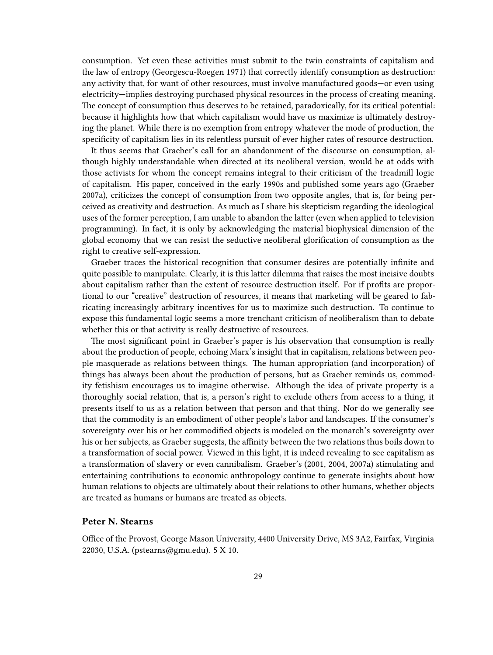consumption. Yet even these activities must submit to the twin constraints of capitalism and the law of entropy (Georgescu-Roegen 1971) that correctly identify consumption as destruction: any activity that, for want of other resources, must involve manufactured goods—or even using electricity—implies destroying purchased physical resources in the process of creating meaning. The concept of consumption thus deserves to be retained, paradoxically, for its critical potential: because it highlights how that which capitalism would have us maximize is ultimately destroying the planet. While there is no exemption from entropy whatever the mode of production, the specificity of capitalism lies in its relentless pursuit of ever higher rates of resource destruction.

It thus seems that Graeber's call for an abandonment of the discourse on consumption, although highly understandable when directed at its neoliberal version, would be at odds with those activists for whom the concept remains integral to their criticism of the treadmill logic of capitalism. His paper, conceived in the early 1990s and published some years ago (Graeber 2007a), criticizes the concept of consumption from two opposite angles, that is, for being perceived as creativity and destruction. As much as I share his skepticism regarding the ideological uses of the former perception, I am unable to abandon the latter (even when applied to television programming). In fact, it is only by acknowledging the material biophysical dimension of the global economy that we can resist the seductive neoliberal glorification of consumption as the right to creative self-expression.

Graeber traces the historical recognition that consumer desires are potentially infinite and quite possible to manipulate. Clearly, it is this latter dilemma that raises the most incisive doubts about capitalism rather than the extent of resource destruction itself. For if profits are proportional to our "creative" destruction of resources, it means that marketing will be geared to fabricating increasingly arbitrary incentives for us to maximize such destruction. To continue to expose this fundamental logic seems a more trenchant criticism of neoliberalism than to debate whether this or that activity is really destructive of resources.

The most significant point in Graeber's paper is his observation that consumption is really about the production of people, echoing Marx's insight that in capitalism, relations between people masquerade as relations between things. The human appropriation (and incorporation) of things has always been about the production of persons, but as Graeber reminds us, commodity fetishism encourages us to imagine otherwise. Although the idea of private property is a thoroughly social relation, that is, a person's right to exclude others from access to a thing, it presents itself to us as a relation between that person and that thing. Nor do we generally see that the commodity is an embodiment of other people's labor and landscapes. If the consumer's sovereignty over his or her commodified objects is modeled on the monarch's sovereignty over his or her subjects, as Graeber suggests, the affinity between the two relations thus boils down to a transformation of social power. Viewed in this light, it is indeed revealing to see capitalism as a transformation of slavery or even cannibalism. Graeber's (2001, 2004, 2007a) stimulating and entertaining contributions to economic anthropology continue to generate insights about how human relations to objects are ultimately about their relations to other humans, whether objects are treated as humans or humans are treated as objects.

#### <span id="page-28-0"></span>**Peter N. Stearns**

Office of the Provost, George Mason University, 4400 University Drive, MS 3A2, Fairfax, Virginia 22030, U.S.A. (pstearns@gmu.edu). 5 X 10.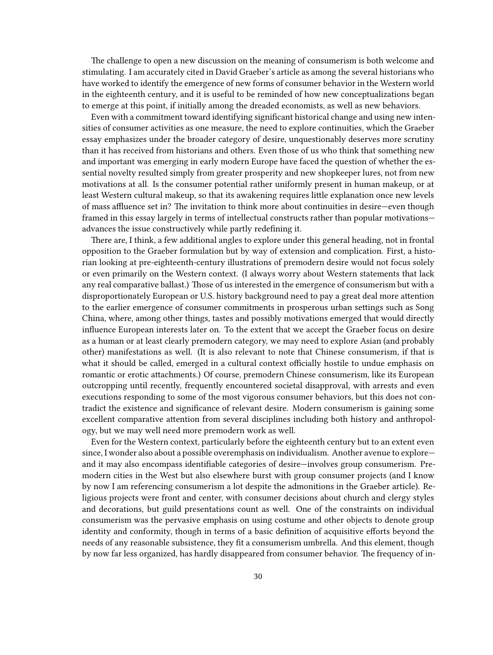The challenge to open a new discussion on the meaning of consumerism is both welcome and stimulating. I am accurately cited in David Graeber's article as among the several historians who have worked to identify the emergence of new forms of consumer behavior in the Western world in the eighteenth century, and it is useful to be reminded of how new conceptualizations began to emerge at this point, if initially among the dreaded economists, as well as new behaviors.

Even with a commitment toward identifying significant historical change and using new intensities of consumer activities as one measure, the need to explore continuities, which the Graeber essay emphasizes under the broader category of desire, unquestionably deserves more scrutiny than it has received from historians and others. Even those of us who think that something new and important was emerging in early modern Europe have faced the question of whether the essential novelty resulted simply from greater prosperity and new shopkeeper lures, not from new motivations at all. Is the consumer potential rather uniformly present in human makeup, or at least Western cultural makeup, so that its awakening requires little explanation once new levels of mass affluence set in? The invitation to think more about continuities in desire—even though framed in this essay largely in terms of intellectual constructs rather than popular motivations advances the issue constructively while partly redefining it.

There are, I think, a few additional angles to explore under this general heading, not in frontal opposition to the Graeber formulation but by way of extension and complication. First, a historian looking at pre-eighteenth-century illustrations of premodern desire would not focus solely or even primarily on the Western context. (I always worry about Western statements that lack any real comparative ballast.) Those of us interested in the emergence of consumerism but with a disproportionately European or U.S. history background need to pay a great deal more attention to the earlier emergence of consumer commitments in prosperous urban settings such as Song China, where, among other things, tastes and possibly motivations emerged that would directly influence European interests later on. To the extent that we accept the Graeber focus on desire as a human or at least clearly premodern category, we may need to explore Asian (and probably other) manifestations as well. (It is also relevant to note that Chinese consumerism, if that is what it should be called, emerged in a cultural context officially hostile to undue emphasis on romantic or erotic attachments.) Of course, premodern Chinese consumerism, like its European outcropping until recently, frequently encountered societal disapproval, with arrests and even executions responding to some of the most vigorous consumer behaviors, but this does not contradict the existence and significance of relevant desire. Modern consumerism is gaining some excellent comparative attention from several disciplines including both history and anthropology, but we may well need more premodern work as well.

Even for the Western context, particularly before the eighteenth century but to an extent even since, I wonder also about a possible overemphasis on individualism. Another avenue to explore and it may also encompass identifiable categories of desire—involves group consumerism. Premodern cities in the West but also elsewhere burst with group consumer projects (and I know by now I am referencing consumerism a lot despite the admonitions in the Graeber article). Religious projects were front and center, with consumer decisions about church and clergy styles and decorations, but guild presentations count as well. One of the constraints on individual consumerism was the pervasive emphasis on using costume and other objects to denote group identity and conformity, though in terms of a basic definition of acquisitive efforts beyond the needs of any reasonable subsistence, they fit a consumerism umbrella. And this element, though by now far less organized, has hardly disappeared from consumer behavior. The frequency of in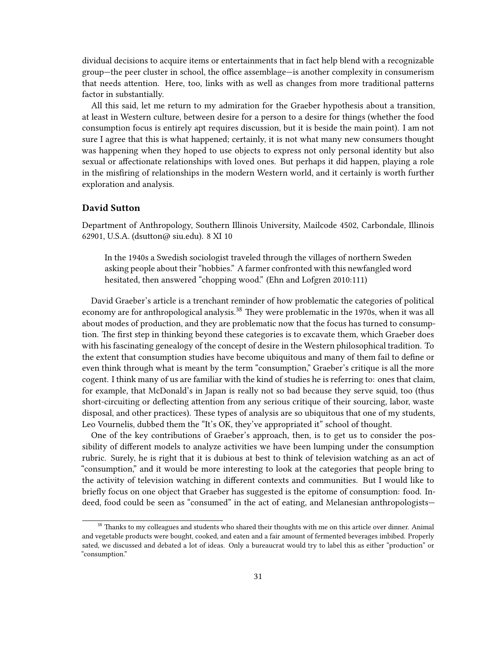dividual decisions to acquire items or entertainments that in fact help blend with a recognizable group—the peer cluster in school, the office assemblage—is another complexity in consumerism that needs attention. Here, too, links with as well as changes from more traditional patterns factor in substantially.

All this said, let me return to my admiration for the Graeber hypothesis about a transition, at least in Western culture, between desire for a person to a desire for things (whether the food consumption focus is entirely apt requires discussion, but it is beside the main point). I am not sure I agree that this is what happened; certainly, it is not what many new consumers thought was happening when they hoped to use objects to express not only personal identity but also sexual or affectionate relationships with loved ones. But perhaps it did happen, playing a role in the misfiring of relationships in the modern Western world, and it certainly is worth further exploration and analysis.

#### <span id="page-30-0"></span>**David Sutton**

Department of Anthropology, Southern Illinois University, Mailcode 4502, Carbondale, Illinois 62901, U.S.A. (dsutton@ siu.edu). 8 XI 10

In the 1940s a Swedish sociologist traveled through the villages of northern Sweden asking people about their "hobbies." A farmer confronted with this newfangled word hesitated, then answered "chopping wood." (Ehn and Lofgren 2010:111)

David Graeber's article is a trenchant reminder of how problematic the categories of political economy are for anthropological analysis.<sup>38</sup> They were problematic in the 1970s, when it was all about modes of production, and they are problematic now that the focus has turned to consumption. The first step in thinking beyond these categories is to excavate them, which Graeber does with his fascinating genealogy of the concept of desire in the Western philosophical tradition. To the extent that consumption studies have become ubiquitous and many of them fail to define or even think through what is meant by the term "consumption," Graeber's critique is all the more cogent. I think many of us are familiar with the kind of studies he is referring to: ones that claim, for example, that McDonald's in Japan is really not so bad because they serve squid, too (thus short-circuiting or deflecting attention from any serious critique of their sourcing, labor, waste disposal, and other practices). These types of analysis are so ubiquitous that one of my students, Leo Vournelis, dubbed them the "It's OK, they've appropriated it" school of thought.

One of the key contributions of Graeber's approach, then, is to get us to consider the possibility of different models to analyze activities we have been lumping under the consumption rubric. Surely, he is right that it is dubious at best to think of television watching as an act of "consumption," and it would be more interesting to look at the categories that people bring to the activity of television watching in different contexts and communities. But I would like to briefly focus on one object that Graeber has suggested is the epitome of consumption: food. Indeed, food could be seen as "consumed" in the act of eating, and Melanesian anthropologists—

<sup>&</sup>lt;sup>38</sup> Thanks to my colleagues and students who shared their thoughts with me on this article over dinner. Animal and vegetable products were bought, cooked, and eaten and a fair amount of fermented beverages imbibed. Properly sated, we discussed and debated a lot of ideas. Only a bureaucrat would try to label this as either "production" or "consumption."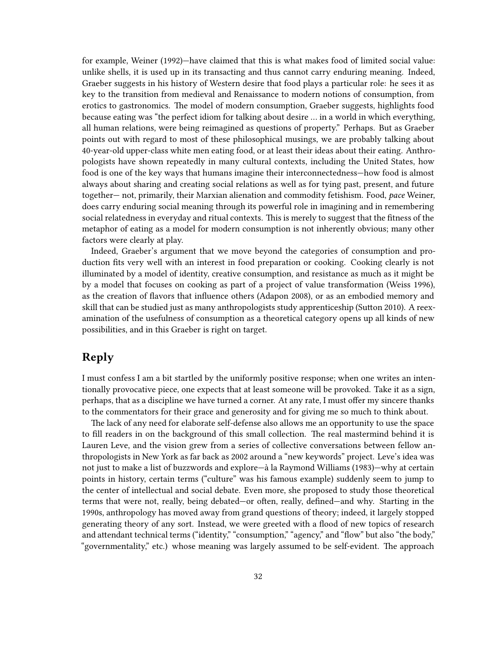for example, Weiner (1992)—have claimed that this is what makes food of limited social value: unlike shells, it is used up in its transacting and thus cannot carry enduring meaning. Indeed, Graeber suggests in his history of Western desire that food plays a particular role: he sees it as key to the transition from medieval and Renaissance to modern notions of consumption, from erotics to gastronomics. The model of modern consumption, Graeber suggests, highlights food because eating was "the perfect idiom for talking about desire … in a world in which everything, all human relations, were being reimagined as questions of property." Perhaps. But as Graeber points out with regard to most of these philosophical musings, we are probably talking about 40-year-old upper-class white men eating food, or at least their ideas about their eating. Anthropologists have shown repeatedly in many cultural contexts, including the United States, how food is one of the key ways that humans imagine their interconnectedness—how food is almost always about sharing and creating social relations as well as for tying past, present, and future together— not, primarily, their Marxian alienation and commodity fetishism. Food, *pace* Weiner, does carry enduring social meaning through its powerful role in imagining and in remembering social relatedness in everyday and ritual contexts. This is merely to suggest that the fitness of the metaphor of eating as a model for modern consumption is not inherently obvious; many other factors were clearly at play.

Indeed, Graeber's argument that we move beyond the categories of consumption and production fits very well with an interest in food preparation or cooking. Cooking clearly is not illuminated by a model of identity, creative consumption, and resistance as much as it might be by a model that focuses on cooking as part of a project of value transformation (Weiss 1996), as the creation of flavors that influence others (Adapon 2008), or as an embodied memory and skill that can be studied just as many anthropologists study apprenticeship (Sutton 2010). A reexamination of the usefulness of consumption as a theoretical category opens up all kinds of new possibilities, and in this Graeber is right on target.

# <span id="page-31-0"></span>**Reply**

I must confess I am a bit startled by the uniformly positive response; when one writes an intentionally provocative piece, one expects that at least someone will be provoked. Take it as a sign, perhaps, that as a discipline we have turned a corner. At any rate, I must offer my sincere thanks to the commentators for their grace and generosity and for giving me so much to think about.

The lack of any need for elaborate self-defense also allows me an opportunity to use the space to fill readers in on the background of this small collection. The real mastermind behind it is Lauren Leve, and the vision grew from a series of collective conversations between fellow anthropologists in New York as far back as 2002 around a "new keywords" project. Leve's idea was not just to make a list of buzzwords and explore—à la Raymond Williams (1983)—why at certain points in history, certain terms ("culture" was his famous example) suddenly seem to jump to the center of intellectual and social debate. Even more, she proposed to study those theoretical terms that were not, really, being debated—or often, really, defined—and why. Starting in the 1990s, anthropology has moved away from grand questions of theory; indeed, it largely stopped generating theory of any sort. Instead, we were greeted with a flood of new topics of research and attendant technical terms ("identity," "consumption," "agency," and "flow" but also "the body," "governmentality," etc.) whose meaning was largely assumed to be self-evident. The approach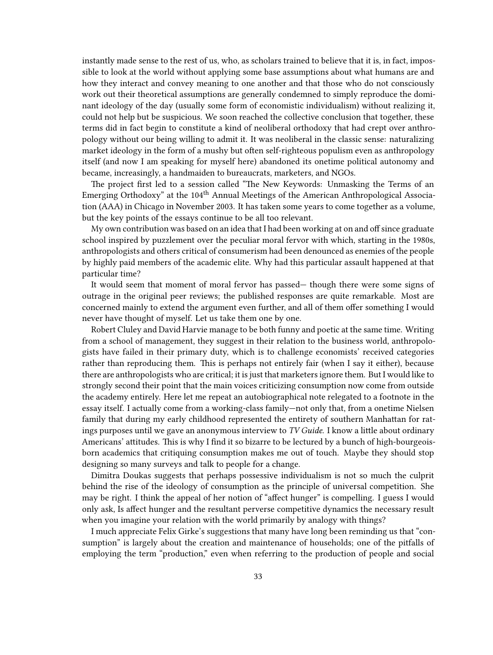instantly made sense to the rest of us, who, as scholars trained to believe that it is, in fact, impossible to look at the world without applying some base assumptions about what humans are and how they interact and convey meaning to one another and that those who do not consciously work out their theoretical assumptions are generally condemned to simply reproduce the dominant ideology of the day (usually some form of economistic individualism) without realizing it, could not help but be suspicious. We soon reached the collective conclusion that together, these terms did in fact begin to constitute a kind of neoliberal orthodoxy that had crept over anthropology without our being willing to admit it. It was neoliberal in the classic sense: naturalizing market ideology in the form of a mushy but often self-righteous populism even as anthropology itself (and now I am speaking for myself here) abandoned its onetime political autonomy and became, increasingly, a handmaiden to bureaucrats, marketers, and NGOs.

The project first led to a session called "The New Keywords: Unmasking the Terms of an Emerging Orthodoxy" at the 104<sup>th</sup> Annual Meetings of the American Anthropological Association (AAA) in Chicago in November 2003. It has taken some years to come together as a volume, but the key points of the essays continue to be all too relevant.

My own contribution was based on an idea that I had been working at on and off since graduate school inspired by puzzlement over the peculiar moral fervor with which, starting in the 1980s, anthropologists and others critical of consumerism had been denounced as enemies of the people by highly paid members of the academic elite. Why had this particular assault happened at that particular time?

It would seem that moment of moral fervor has passed— though there were some signs of outrage in the original peer reviews; the published responses are quite remarkable. Most are concerned mainly to extend the argument even further, and all of them offer something I would never have thought of myself. Let us take them one by one.

Robert Cluley and David Harvie manage to be both funny and poetic at the same time. Writing from a school of management, they suggest in their relation to the business world, anthropologists have failed in their primary duty, which is to challenge economists' received categories rather than reproducing them. This is perhaps not entirely fair (when I say it either), because there are anthropologists who are critical; it is just that marketers ignore them. But I would like to strongly second their point that the main voices criticizing consumption now come from outside the academy entirely. Here let me repeat an autobiographical note relegated to a footnote in the essay itself. I actually come from a working-class family—not only that, from a onetime Nielsen family that during my early childhood represented the entirety of southern Manhattan for ratings purposes until we gave an anonymous interview to *TV Guide*. I know a little about ordinary Americans' attitudes. This is why I find it so bizarre to be lectured by a bunch of high-bourgeoisborn academics that critiquing consumption makes me out of touch. Maybe they should stop designing so many surveys and talk to people for a change.

Dimitra Doukas suggests that perhaps possessive individualism is not so much the culprit behind the rise of the ideology of consumption as the principle of universal competition. She may be right. I think the appeal of her notion of "affect hunger" is compelling. I guess I would only ask, Is affect hunger and the resultant perverse competitive dynamics the necessary result when you imagine your relation with the world primarily by analogy with things?

I much appreciate Felix Girke's suggestions that many have long been reminding us that "consumption" is largely about the creation and maintenance of households; one of the pitfalls of employing the term "production," even when referring to the production of people and social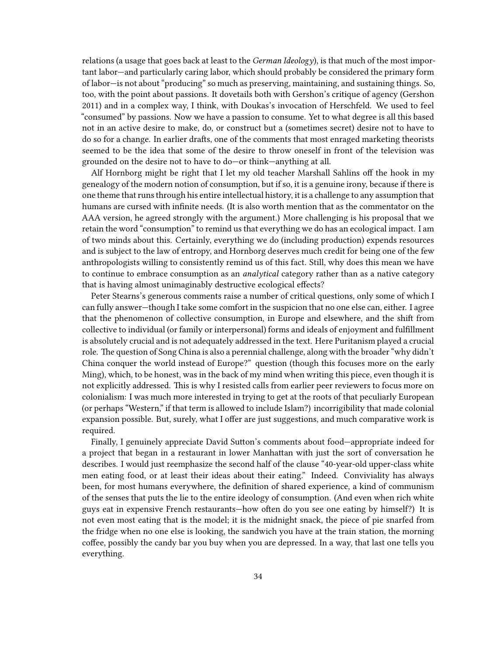relations (a usage that goes back at least to the *German Ideology*), is that much of the most important labor—and particularly caring labor, which should probably be considered the primary form of labor—is not about "producing" so much as preserving, maintaining, and sustaining things. So, too, with the point about passions. It dovetails both with Gershon's critique of agency (Gershon 2011) and in a complex way, I think, with Doukas's invocation of Herschfeld. We used to feel "consumed" by passions. Now we have a passion to consume. Yet to what degree is all this based not in an active desire to make, do, or construct but a (sometimes secret) desire not to have to do so for a change. In earlier drafts, one of the comments that most enraged marketing theorists seemed to be the idea that some of the desire to throw oneself in front of the television was grounded on the desire not to have to do—or think—anything at all.

Alf Hornborg might be right that I let my old teacher Marshall Sahlins off the hook in my genealogy of the modern notion of consumption, but if so, it is a genuine irony, because if there is one theme that runs through his entire intellectual history, it is a challenge to any assumption that humans are cursed with infinite needs. (It is also worth mention that as the commentator on the AAA version, he agreed strongly with the argument.) More challenging is his proposal that we retain the word "consumption" to remind us that everything we do has an ecological impact. I am of two minds about this. Certainly, everything we do (including production) expends resources and is subject to the law of entropy, and Hornborg deserves much credit for being one of the few anthropologists willing to consistently remind us of this fact. Still, why does this mean we have to continue to embrace consumption as an *analytical* category rather than as a native category that is having almost unimaginably destructive ecological effects?

Peter Stearns's generous comments raise a number of critical questions, only some of which I can fully answer—though I take some comfort in the suspicion that no one else can, either. I agree that the phenomenon of collective consumption, in Europe and elsewhere, and the shift from collective to individual (or family or interpersonal) forms and ideals of enjoyment and fulfillment is absolutely crucial and is not adequately addressed in the text. Here Puritanism played a crucial role. The question of Song China is also a perennial challenge, along with the broader "why didn't China conquer the world instead of Europe?" question (though this focuses more on the early Ming), which, to be honest, was in the back of my mind when writing this piece, even though it is not explicitly addressed. This is why I resisted calls from earlier peer reviewers to focus more on colonialism: I was much more interested in trying to get at the roots of that peculiarly European (or perhaps "Western," if that term is allowed to include Islam?) incorrigibility that made colonial expansion possible. But, surely, what I offer are just suggestions, and much comparative work is required.

Finally, I genuinely appreciate David Sutton's comments about food—appropriate indeed for a project that began in a restaurant in lower Manhattan with just the sort of conversation he describes. I would just reemphasize the second half of the clause "40-year-old upper-class white men eating food, or at least their ideas about their eating." Indeed. Conviviality has always been, for most humans everywhere, the definition of shared experience, a kind of communism of the senses that puts the lie to the entire ideology of consumption. (And even when rich white guys eat in expensive French restaurants—how often do you see one eating by himself?) It is not even most eating that is the model; it is the midnight snack, the piece of pie snarfed from the fridge when no one else is looking, the sandwich you have at the train station, the morning coffee, possibly the candy bar you buy when you are depressed. In a way, that last one tells you everything.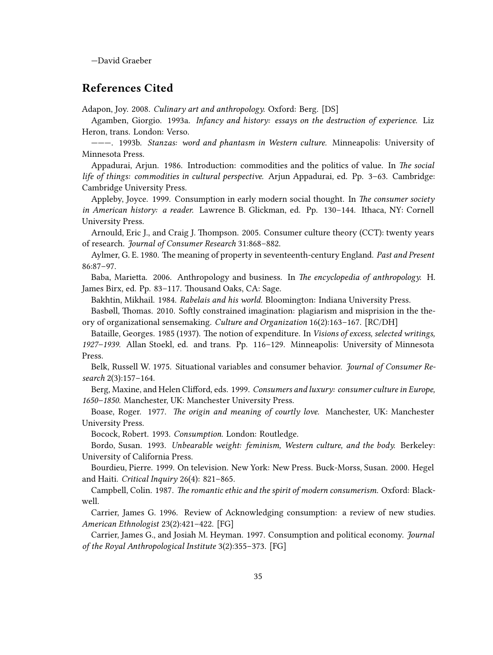—David Graeber

## <span id="page-34-0"></span>**References Cited**

Adapon, Joy. 2008. *Culinary art and anthropology.* Oxford: Berg. [DS]

Agamben, Giorgio. 1993a. *Infancy and history: essays on the destruction of experience.* Liz Heron, trans. London: Verso.

———. 1993b. *Stanzas: word and phantasm in Western culture.* Minneapolis: University of Minnesota Press.

Appadurai, Arjun. 1986. Introduction: commodities and the politics of value. In *The social life of things: commodities in cultural perspective.* Arjun Appadurai, ed. Pp. 3–63. Cambridge: Cambridge University Press.

Appleby, Joyce. 1999. Consumption in early modern social thought. In *The consumer society in American history: a reader.* Lawrence B. Glickman, ed. Pp. 130–144. Ithaca, NY: Cornell University Press.

Arnould, Eric J., and Craig J. Thompson. 2005. Consumer culture theory (CCT): twenty years of research. *Journal of Consumer Research* 31:868–882.

Aylmer, G. E. 1980. The meaning of property in seventeenth-century England. *Past and Present* 86:87–97.

Baba, Marietta. 2006. Anthropology and business. In *The encyclopedia of anthropology.* H. James Birx, ed. Pp. 83–117. Thousand Oaks, CA: Sage.

Bakhtin, Mikhail. 1984. *Rabelais and his world.* Bloomington: Indiana University Press.

Basbøll, Thomas. 2010. Softly constrained imagination: plagiarism and misprision in the theory of organizational sensemaking. *Culture and Organization* 16(2):163–167. [RC/DH]

Bataille, Georges. 1985 (1937). The notion of expenditure. In *Visions of excess, selected writings, 1927–1939.* Allan Stoekl, ed. and trans. Pp. 116–129. Minneapolis: University of Minnesota Press.

Belk, Russell W. 1975. Situational variables and consumer behavior. *Journal of Consumer Research* 2(3):157–164.

Berg, Maxine, and Helen Clifford, eds. 1999. *Consumers and luxury: consumer culture in Europe, 1650–1850.* Manchester, UK: Manchester University Press.

Boase, Roger. 1977. *The origin and meaning of courtly love.* Manchester, UK: Manchester University Press.

Bocock, Robert. 1993. *Consumption.* London: Routledge.

Bordo, Susan. 1993. *Unbearable weight: feminism, Western culture, and the body.* Berkeley: University of California Press.

Bourdieu, Pierre. 1999. On television. New York: New Press. Buck-Morss, Susan. 2000. Hegel and Haiti. *Critical Inquiry* 26(4): 821–865.

Campbell, Colin. 1987. *The romantic ethic and the spirit of modern consumerism.* Oxford: Blackwell.

Carrier, James G. 1996. Review of Acknowledging consumption: a review of new studies. *American Ethnologist* 23(2):421–422. [FG]

Carrier, James G., and Josiah M. Heyman. 1997. Consumption and political economy. *Journal of the Royal Anthropological Institute* 3(2):355–373. [FG]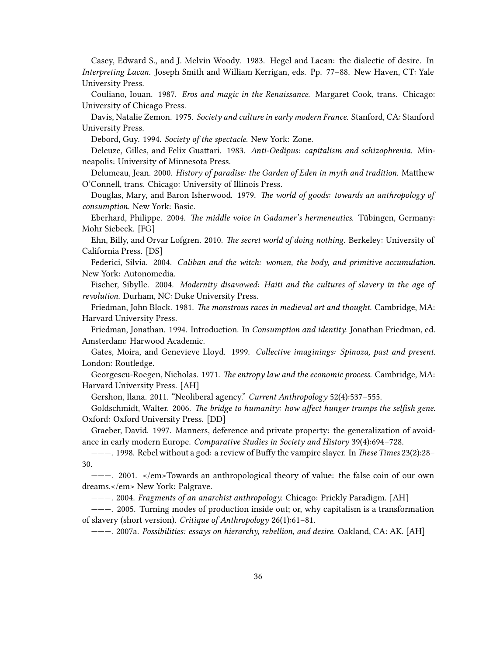Casey, Edward S., and J. Melvin Woody. 1983. Hegel and Lacan: the dialectic of desire. In *Interpreting Lacan.* Joseph Smith and William Kerrigan, eds. Pp. 77–88. New Haven, CT: Yale University Press.

Couliano, Iouan. 1987. *Eros and magic in the Renaissance*. Margaret Cook, trans. Chicago: University of Chicago Press.

Davis, Natalie Zemon. 1975. *Society and culture in early modern France.* Stanford, CA: Stanford University Press.

Debord, Guy. 1994. *Society of the spectacle*. New York: Zone.

Deleuze, Gilles, and Felix Guattari. 1983. *Anti-Oedipus: capitalism and schizophrenia.* Minneapolis: University of Minnesota Press.

Delumeau, Jean. 2000. *History of paradise: the Garden of Eden in myth and tradition.* Matthew O'Connell, trans. Chicago: University of Illinois Press.

Douglas, Mary, and Baron Isherwood. 1979. *The world of goods: towards an anthropology of consumption.* New York: Basic.

Eberhard, Philippe. 2004. *The middle voice in Gadamer's hermeneutics.* Tübingen, Germany: Mohr Siebeck. [FG]

Ehn, Billy, and Orvar Lofgren. 2010. *The secret world of doing nothing.* Berkeley: University of California Press. [DS]

Federici, Silvia. 2004. *Caliban and the witch: women, the body, and primitive accumulation.* New York: Autonomedia.

Fischer, Sibylle. 2004. *Modernity disavowed: Haiti and the cultures of slavery in the age of revolution.* Durham, NC: Duke University Press.

Friedman, John Block. 1981. *The monstrous races in medieval art and thought.* Cambridge, MA: Harvard University Press.

Friedman, Jonathan. 1994. Introduction. In *Consumption and identity.* Jonathan Friedman, ed. Amsterdam: Harwood Academic.

Gates, Moira, and Genevieve Lloyd. 1999. *Collective imaginings: Spinoza, past and present.* London: Routledge.

Georgescu-Roegen, Nicholas. 1971. *The entropy law and the economic process.* Cambridge, MA: Harvard University Press. [AH]

Gershon, Ilana. 2011. "Neoliberal agency." *Current Anthropology* 52(4):537–555.

Goldschmidt, Walter. 2006. *The bridge to humanity: how affect hunger trumps the selfish gene.* Oxford: Oxford University Press. [DD]

Graeber, David. 1997. Manners, deference and private property: the generalization of avoidance in early modern Europe. *Comparative Studies in Society and History* 39(4):694–728.

———. 1998. Rebel without a god: a review of Buffy the vampire slayer. In *These Times* 23(2):28– 30.

———. 2001. </em>Towards an anthropological theory of value: the false coin of our own dreams.</em> New York: Palgrave.

———. 2004. *Fragments of an anarchist anthropology.* Chicago: Prickly Paradigm. [AH]

———. 2005. Turning modes of production inside out; or, why capitalism is a transformation of slavery (short version). *Critique of Anthropology* 26(1):61–81.

———. 2007a. *Possibilities: essays on hierarchy, rebellion, and desire.* Oakland, CA: AK. [AH]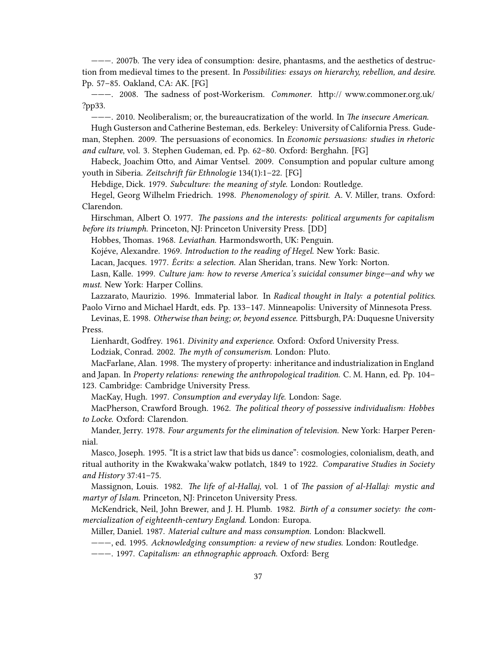———. 2007b. The very idea of consumption: desire, phantasms, and the aesthetics of destruction from medieval times to the present. In *Possibilities: essays on hierarchy, rebellion, and desire.* Pp. 57–85. Oakland, CA: AK. [FG]

———. 2008. The sadness of post-Workerism. *Commoner*. http:// www.commoner.org.uk/ ?pp33.

———. 2010. Neoliberalism; or, the bureaucratization of the world. In *The insecure American*.

Hugh Gusterson and Catherine Besteman, eds. Berkeley: University of California Press. Gudeman, Stephen. 2009. The persuasions of economics. In *Economic persuasions: studies in rhetoric and culture*, vol. 3. Stephen Gudeman, ed. Pp. 62–80. Oxford: Berghahn. [FG]

Habeck, Joachim Otto, and Aimar Ventsel. 2009. Consumption and popular culture among youth in Siberia. *Zeitschrift für Ethnologie* 134(1):1–22. [FG]

Hebdige, Dick. 1979. *Subculture: the meaning of style.* London: Routledge.

Hegel, Georg Wilhelm Friedrich. 1998. *Phenomenology of spirit.* A. V. Miller, trans. Oxford: Clarendon.

Hirschman, Albert O. 1977. *The passions and the interests: political arguments for capitalism before its triumph.* Princeton, NJ: Princeton University Press. [DD]

Hobbes, Thomas. 1968. *Leviathan.* Harmondsworth, UK: Penguin.

Kojéve, Alexandre. 1969. *Introduction to the reading of Hegel.* New York: Basic.

Lacan, Jacques. 1977. *Écrits: a selection.* Alan Sheridan, trans. New York: Norton.

Lasn, Kalle. 1999. *Culture jam: how to reverse America's suicidal consumer binge—and why we must.* New York: Harper Collins.

Lazzarato, Maurizio. 1996. Immaterial labor. In *Radical thought in Italy: a potential politics.* Paolo Virno and Michael Hardt, eds. Pp. 133–147. Minneapolis: University of Minnesota Press.

Levinas, E. 1998. *Otherwise than being; or, beyond essence.* Pittsburgh, PA: Duquesne University Press.

Lienhardt, Godfrey. 1961. *Divinity and experience.* Oxford: Oxford University Press.

Lodziak, Conrad. 2002. *The myth of consumerism.* London: Pluto.

MacFarlane, Alan. 1998. The mystery of property: inheritance and industrialization in England and Japan. In *Property relations: renewing the anthropological tradition*. C. M. Hann, ed. Pp. 104– 123. Cambridge: Cambridge University Press.

MacKay, Hugh. 1997. *Consumption and everyday life.* London: Sage.

MacPherson, Crawford Brough. 1962. *The political theory of possessive individualism: Hobbes to Locke.* Oxford: Clarendon.

Mander, Jerry. 1978. *Four arguments for the elimination of television.* New York: Harper Perennial.

Masco, Joseph. 1995. "It is a strict law that bids us dance": cosmologies, colonialism, death, and ritual authority in the Kwakwaka'wakw potlatch, 1849 to 1922. *Comparative Studies in Society and History* 37:41–75.

Massignon, Louis. 1982. *The life of al-Hallaj*, vol. 1 of *The passion of al-Hallaj: mystic and martyr of Islam*. Princeton, NJ: Princeton University Press.

McKendrick, Neil, John Brewer, and J. H. Plumb. 1982. *Birth of a consumer society: the commercialization of eighteenth-century England.* London: Europa.

Miller, Daniel. 1987. *Material culture and mass consumption.* London: Blackwell.

———, ed. 1995. *Acknowledging consumption: a review of new studies.* London: Routledge.

———. 1997. *Capitalism: an ethnographic approach.* Oxford: Berg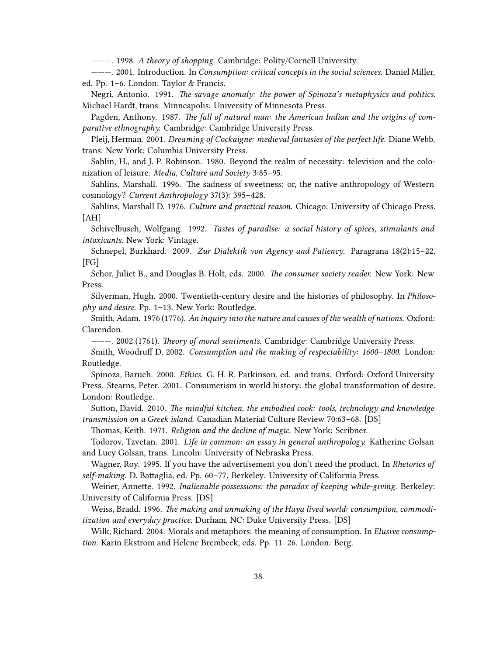———. 1998. *A theory of shopping.* Cambridge: Polity/Cornell University.

———. 2001. Introduction. In *Consumption: critical concepts in the social sciences.* Daniel Miller, ed. Pp. 1–6. London: Taylor & Francis.

Negri, Antonio. 1991. *The savage anomaly: the power of Spinoza's metaphysics and politics.* Michael Hardt, trans. Minneapolis: University of Minnesota Press.

Pagden, Anthony. 1987. *The fall of natural man: the American Indian and the origins of comparative ethnography.* Cambridge: Cambridge University Press.

Pleij, Herman. 2001. *Dreaming of Cockaigne: medieval fantasies of the perfect life.* Diane Webb, trans. New York: Columbia University Press.

Sahlin, H., and J. P. Robinson. 1980. Beyond the realm of necessity: television and the colonization of leisure. *Media, Culture and Society* 3:85–95.

Sahlins, Marshall. 1996. The sadness of sweetness; or, the native anthropology of Western cosmology? *Current Anthropology* 37(3): 395–428.

Sahlins, Marshall D. 1976. *Culture and practical reason.* Chicago: University of Chicago Press. [AH]

Schivelbusch, Wolfgang. 1992. *Tastes of paradise: a social history of spices, stimulants and intoxicants.* New York: Vintage.

Schnepel, Burkhard. 2009. *Zur Dialektik von Agency and Patiency*. Paragrana 18(2):15–22. [FG]

Schor, Juliet B., and Douglas B. Holt, eds. 2000. *The consumer society reader.* New York: New Press.

Silverman, Hugh. 2000. Twentieth-century desire and the histories of philosophy. In *Philosophy and desire.* Pp. 1–13. New York: Routledge.

Smith, Adam. 1976 (1776). *An inquiry into the nature and causes of the wealth of nations.* Oxford: Clarendon.

———. 2002 (1761). *Theory of moral sentiments.* Cambridge: Cambridge University Press.

Smith, Woodruff D. 2002. *Consumption and the making of respectability: 1600–1800.* London: Routledge.

Spinoza, Baruch. 2000. *Ethics*. G. H. R. Parkinson, ed. and trans. Oxford: Oxford University Press. Stearns, Peter. 2001. Consumerism in world history: the global transformation of desire. London: Routledge.

Sutton, David. 2010. *The mindful kitchen, the embodied cook: tools, technology and knowledge transmission on a Greek island*. Canadian Material Culture Review 70:63–68. [DS]

Thomas, Keith. 1971. *Religion and the decline of magic.* New York: Scribner.

Todorov, Tzvetan. 2001. *Life in common: an essay in general anthropology.* Katherine Golsan and Lucy Golsan, trans. Lincoln: University of Nebraska Press.

Wagner, Roy. 1995. If you have the advertisement you don't need the product. In *Rhetorics of self-making*. D. Battaglia, ed. Pp. 60–77. Berkeley: University of California Press.

Weiner, Annette. 1992. *Inalienable possessions: the paradox of keeping while-giving.* Berkeley: University of California Press. [DS]

Weiss, Bradd. 1996. *The making and unmaking of the Haya lived world: consumption, commoditization and everyday practice.* Durham, NC: Duke University Press. [DS]

Wilk, Richard. 2004. Morals and metaphors: the meaning of consumption. In *Elusive consumption.* Karin Ekstrom and Helene Brembeck, eds. Pp. 11–26. London: Berg.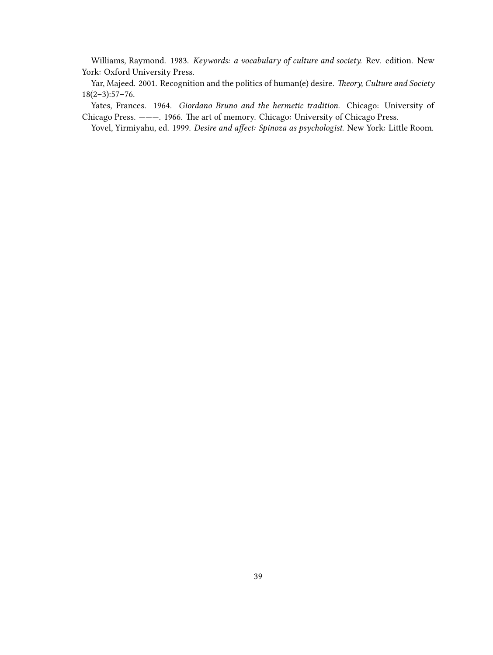Williams, Raymond. 1983. *Keywords: a vocabulary of culture and society.* Rev. edition. New York: Oxford University Press.

Yar, Majeed. 2001. Recognition and the politics of human(e) desire. *Theory, Culture and Society* 18(2–3):57–76.

Yates, Frances. 1964. *Giordano Bruno and the hermetic tradition.* Chicago: University of Chicago Press. ———. 1966. The art of memory. Chicago: University of Chicago Press.

Yovel, Yirmiyahu, ed. 1999. *Desire and affect: Spinoza as psychologist*. New York: Little Room.